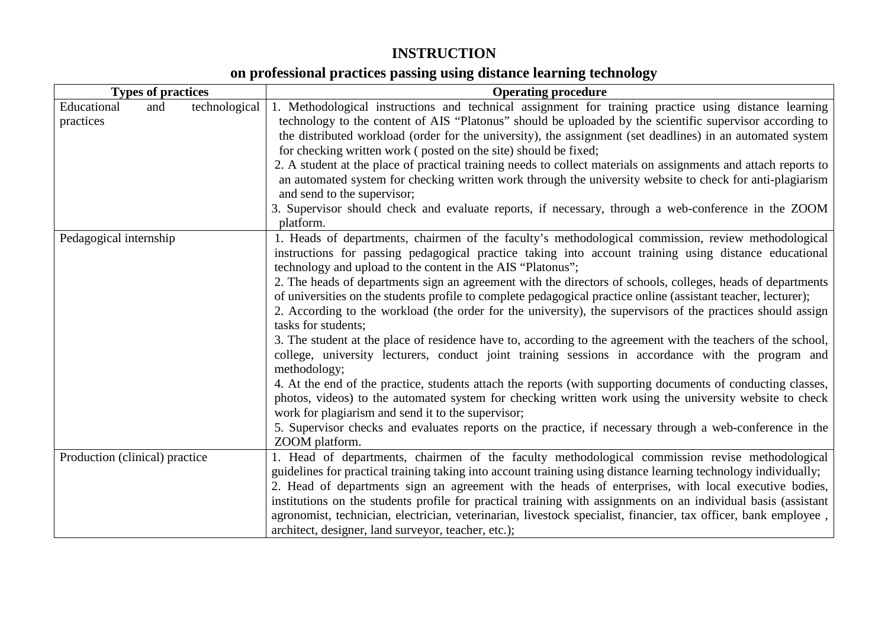# **INSTRUCTION**

## **on professional practices passing using distance learning technology**

| <b>Operating procedure</b>                                                                                                 |  |  |  |  |
|----------------------------------------------------------------------------------------------------------------------------|--|--|--|--|
| 1. Methodological instructions and technical assignment for training practice using distance learning                      |  |  |  |  |
| technology to the content of AIS "Platonus" should be uploaded by the scientific supervisor according to                   |  |  |  |  |
| the distributed workload (order for the university), the assignment (set deadlines) in an automated system                 |  |  |  |  |
| for checking written work (posted on the site) should be fixed;                                                            |  |  |  |  |
| 2. A student at the place of practical training needs to collect materials on assignments and attach reports to            |  |  |  |  |
| an automated system for checking written work through the university website to check for anti-plagiarism                  |  |  |  |  |
| and send to the supervisor;                                                                                                |  |  |  |  |
| 3. Supervisor should check and evaluate reports, if necessary, through a web-conference in the ZOOM                        |  |  |  |  |
| platform.                                                                                                                  |  |  |  |  |
| 1. Heads of departments, chairmen of the faculty's methodological commission, review methodological                        |  |  |  |  |
| instructions for passing pedagogical practice taking into account training using distance educational                      |  |  |  |  |
| technology and upload to the content in the AIS "Platonus";                                                                |  |  |  |  |
| 2. The heads of departments sign an agreement with the directors of schools, colleges, heads of departments                |  |  |  |  |
| of universities on the students profile to complete pedagogical practice online (assistant teacher, lecturer);             |  |  |  |  |
| 2. According to the workload (the order for the university), the supervisors of the practices should assign                |  |  |  |  |
| tasks for students;                                                                                                        |  |  |  |  |
| 3. The student at the place of residence have to, according to the agreement with the teachers of the school,              |  |  |  |  |
| college, university lecturers, conduct joint training sessions in accordance with the program and                          |  |  |  |  |
| methodology;                                                                                                               |  |  |  |  |
| 4. At the end of the practice, students attach the reports (with supporting documents of conducting classes,               |  |  |  |  |
| photos, videos) to the automated system for checking written work using the university website to check                    |  |  |  |  |
| work for plagiarism and send it to the supervisor;                                                                         |  |  |  |  |
| 5. Supervisor checks and evaluates reports on the practice, if necessary through a web-conference in the<br>ZOOM platform. |  |  |  |  |
| 1. Head of departments, chairmen of the faculty methodological commission revise methodological                            |  |  |  |  |
| guidelines for practical training taking into account training using distance learning technology individually;            |  |  |  |  |
| 2. Head of departments sign an agreement with the heads of enterprises, with local executive bodies,                       |  |  |  |  |
| institutions on the students profile for practical training with assignments on an individual basis (assistant             |  |  |  |  |
| agronomist, technician, electrician, veterinarian, livestock specialist, financier, tax officer, bank employee,            |  |  |  |  |
| architect, designer, land surveyor, teacher, etc.);                                                                        |  |  |  |  |
|                                                                                                                            |  |  |  |  |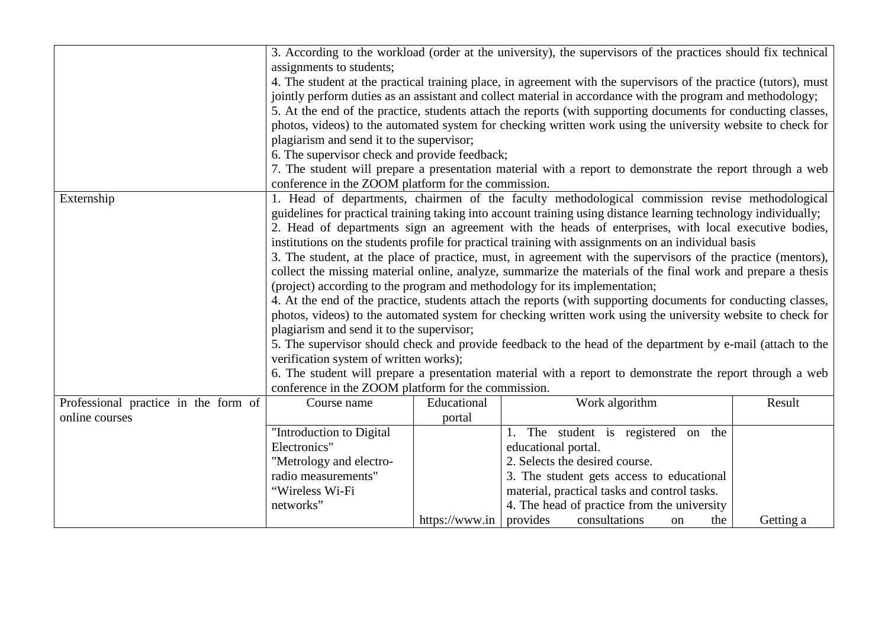|                                      | 3. According to the workload (order at the university), the supervisors of the practices should fix technical    |                |                                                                                                                 |                  |  |  |
|--------------------------------------|------------------------------------------------------------------------------------------------------------------|----------------|-----------------------------------------------------------------------------------------------------------------|------------------|--|--|
|                                      | assignments to students;                                                                                         |                |                                                                                                                 |                  |  |  |
|                                      | 4. The student at the practical training place, in agreement with the supervisors of the practice (tutors), must |                |                                                                                                                 |                  |  |  |
|                                      |                                                                                                                  |                | jointly perform duties as an assistant and collect material in accordance with the program and methodology;     |                  |  |  |
|                                      |                                                                                                                  |                |                                                                                                                 |                  |  |  |
|                                      |                                                                                                                  |                | 5. At the end of the practice, students attach the reports (with supporting documents for conducting classes,   |                  |  |  |
|                                      |                                                                                                                  |                | photos, videos) to the automated system for checking written work using the university website to check for     |                  |  |  |
|                                      | plagiarism and send it to the supervisor;                                                                        |                |                                                                                                                 |                  |  |  |
|                                      | 6. The supervisor check and provide feedback;                                                                    |                |                                                                                                                 |                  |  |  |
|                                      |                                                                                                                  |                | 7. The student will prepare a presentation material with a report to demonstrate the report through a web       |                  |  |  |
|                                      | conference in the ZOOM platform for the commission.                                                              |                |                                                                                                                 |                  |  |  |
| Externship                           |                                                                                                                  |                | 1. Head of departments, chairmen of the faculty methodological commission revise methodological                 |                  |  |  |
|                                      |                                                                                                                  |                | guidelines for practical training taking into account training using distance learning technology individually; |                  |  |  |
|                                      |                                                                                                                  |                | 2. Head of departments sign an agreement with the heads of enterprises, with local executive bodies,            |                  |  |  |
|                                      |                                                                                                                  |                | institutions on the students profile for practical training with assignments on an individual basis             |                  |  |  |
|                                      |                                                                                                                  |                | 3. The student, at the place of practice, must, in agreement with the supervisors of the practice (mentors),    |                  |  |  |
|                                      |                                                                                                                  |                | collect the missing material online, analyze, summarize the materials of the final work and prepare a thesis    |                  |  |  |
|                                      |                                                                                                                  |                | (project) according to the program and methodology for its implementation;                                      |                  |  |  |
|                                      |                                                                                                                  |                | 4. At the end of the practice, students attach the reports (with supporting documents for conducting classes,   |                  |  |  |
|                                      |                                                                                                                  |                | photos, videos) to the automated system for checking written work using the university website to check for     |                  |  |  |
|                                      | plagiarism and send it to the supervisor;                                                                        |                |                                                                                                                 |                  |  |  |
|                                      |                                                                                                                  |                | 5. The supervisor should check and provide feedback to the head of the department by e-mail (attach to the      |                  |  |  |
|                                      | verification system of written works);                                                                           |                |                                                                                                                 |                  |  |  |
|                                      |                                                                                                                  |                | 6. The student will prepare a presentation material with a report to demonstrate the report through a web       |                  |  |  |
|                                      | conference in the ZOOM platform for the commission.                                                              |                |                                                                                                                 |                  |  |  |
| Professional practice in the form of | Course name                                                                                                      | Educational    | Work algorithm                                                                                                  | Result           |  |  |
| online courses                       |                                                                                                                  | portal         |                                                                                                                 |                  |  |  |
|                                      | "Introduction to Digital                                                                                         |                | 1. The student is registered on the                                                                             |                  |  |  |
|                                      | Electronics"                                                                                                     |                | educational portal.                                                                                             |                  |  |  |
|                                      | "Metrology and electro-                                                                                          |                | 2. Selects the desired course.                                                                                  |                  |  |  |
|                                      | radio measurements"                                                                                              |                | 3. The student gets access to educational                                                                       |                  |  |  |
|                                      | "Wireless Wi-Fi                                                                                                  |                | material, practical tasks and control tasks.                                                                    |                  |  |  |
|                                      | networks"                                                                                                        |                | 4. The head of practice from the university                                                                     |                  |  |  |
|                                      |                                                                                                                  | https://www.in | provides<br>consultations<br>on                                                                                 | Getting a<br>the |  |  |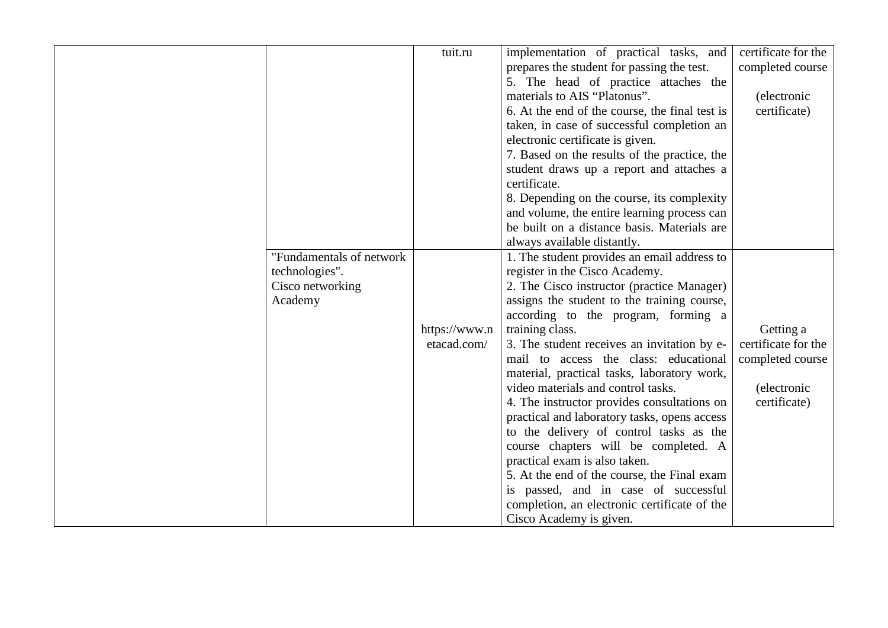| "Fundamentals of network<br>technologies".<br>Cisco networking<br>Academy | tuit.ru<br>https://www.n<br>etacad.com/ | implementation of practical tasks, and<br>prepares the student for passing the test.<br>5. The head of practice attaches the<br>materials to AIS "Platonus".<br>6. At the end of the course, the final test is<br>taken, in case of successful completion an<br>electronic certificate is given.<br>7. Based on the results of the practice, the<br>student draws up a report and attaches a<br>certificate.<br>8. Depending on the course, its complexity<br>and volume, the entire learning process can<br>be built on a distance basis. Materials are<br>always available distantly.<br>1. The student provides an email address to<br>register in the Cisco Academy.<br>2. The Cisco instructor (practice Manager)<br>assigns the student to the training course,<br>according to the program, forming a<br>training class.<br>3. The student receives an invitation by e-<br>mail to access the class: educational<br>material, practical tasks, laboratory work,<br>video materials and control tasks.<br>4. The instructor provides consultations on<br>practical and laboratory tasks, opens access<br>to the delivery of control tasks as the<br>course chapters will be completed. A<br>practical exam is also taken.<br>5. At the end of the course, the Final exam<br>is passed, and in case of successful<br>completion, an electronic certificate of the | certificate for the<br>completed course<br>(electronic<br>certificate)<br>Getting a<br>certificate for the<br>completed course<br><i>(electronic</i><br>certificate) |
|---------------------------------------------------------------------------|-----------------------------------------|------------------------------------------------------------------------------------------------------------------------------------------------------------------------------------------------------------------------------------------------------------------------------------------------------------------------------------------------------------------------------------------------------------------------------------------------------------------------------------------------------------------------------------------------------------------------------------------------------------------------------------------------------------------------------------------------------------------------------------------------------------------------------------------------------------------------------------------------------------------------------------------------------------------------------------------------------------------------------------------------------------------------------------------------------------------------------------------------------------------------------------------------------------------------------------------------------------------------------------------------------------------------------------------------------------------------------------------------------------------------|----------------------------------------------------------------------------------------------------------------------------------------------------------------------|
|                                                                           |                                         | Cisco Academy is given.                                                                                                                                                                                                                                                                                                                                                                                                                                                                                                                                                                                                                                                                                                                                                                                                                                                                                                                                                                                                                                                                                                                                                                                                                                                                                                                                                |                                                                                                                                                                      |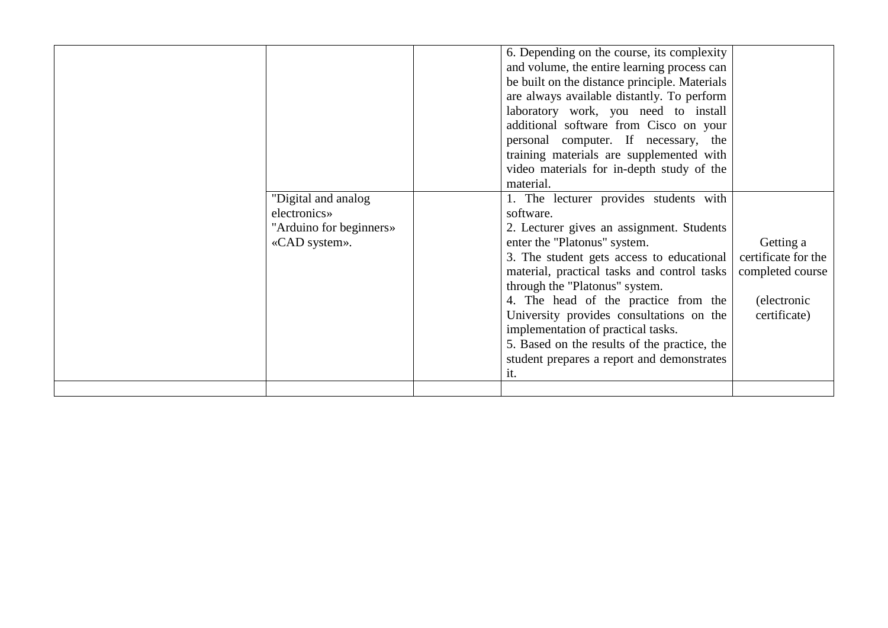|  | "Digital and analog"<br>electronics»<br>"Arduino for beginners»<br>«CAD system». |  | 6. Depending on the course, its complexity<br>and volume, the entire learning process can<br>be built on the distance principle. Materials<br>are always available distantly. To perform<br>laboratory work, you need to install<br>additional software from Cisco on your<br>personal computer. If necessary, the<br>training materials are supplemented with<br>video materials for in-depth study of the<br>material.<br>1. The lecturer provides students with<br>software.<br>2. Lecturer gives an assignment. Students<br>enter the "Platonus" system.<br>3. The student gets access to educational<br>material, practical tasks and control tasks<br>through the "Platonus" system.<br>4. The head of the practice from the<br>University provides consultations on the<br>implementation of practical tasks.<br>5. Based on the results of the practice, the<br>student prepares a report and demonstrates<br>it. | Getting a<br>certificate for the<br>completed course<br>(electronic<br>certificate) |
|--|----------------------------------------------------------------------------------|--|---------------------------------------------------------------------------------------------------------------------------------------------------------------------------------------------------------------------------------------------------------------------------------------------------------------------------------------------------------------------------------------------------------------------------------------------------------------------------------------------------------------------------------------------------------------------------------------------------------------------------------------------------------------------------------------------------------------------------------------------------------------------------------------------------------------------------------------------------------------------------------------------------------------------------|-------------------------------------------------------------------------------------|
|--|----------------------------------------------------------------------------------|--|---------------------------------------------------------------------------------------------------------------------------------------------------------------------------------------------------------------------------------------------------------------------------------------------------------------------------------------------------------------------------------------------------------------------------------------------------------------------------------------------------------------------------------------------------------------------------------------------------------------------------------------------------------------------------------------------------------------------------------------------------------------------------------------------------------------------------------------------------------------------------------------------------------------------------|-------------------------------------------------------------------------------------|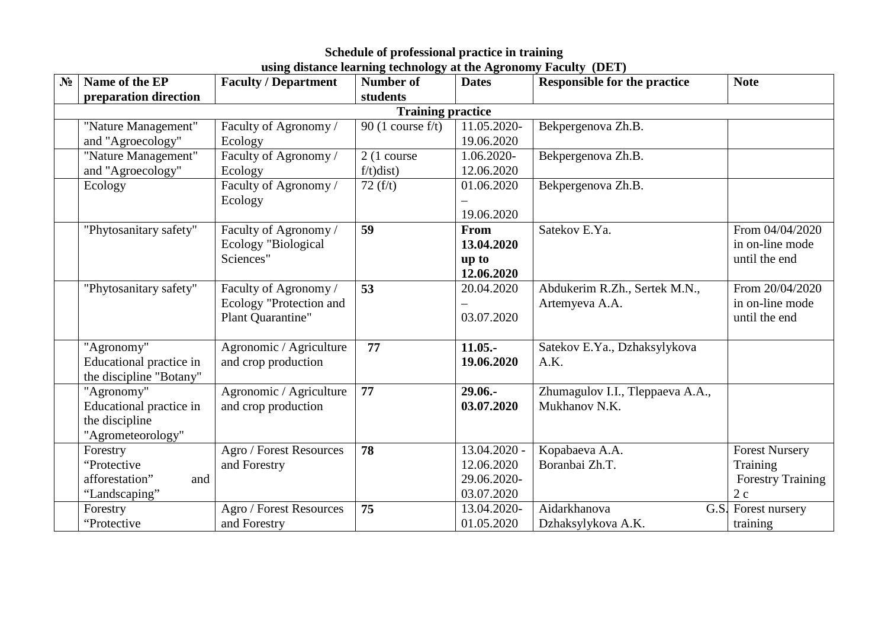| N <sub>2</sub> | Name of the EP           | <b>Faculty / Department</b> | <b>Number of</b>      | <b>Dates</b> | <b>Responsible for the practice</b> | <b>Note</b>              |  |  |
|----------------|--------------------------|-----------------------------|-----------------------|--------------|-------------------------------------|--------------------------|--|--|
|                | preparation direction    |                             | students              |              |                                     |                          |  |  |
|                | <b>Training practice</b> |                             |                       |              |                                     |                          |  |  |
|                | "Nature Management"      | Faculty of Agronomy /       | 90 (1 course $f/t$ )  | 11.05.2020-  | Bekpergenova Zh.B.                  |                          |  |  |
|                | and "Agroecology"        | Ecology                     |                       | 19.06.2020   |                                     |                          |  |  |
|                | "Nature Management"      | Faculty of Agronomy /       | $2(1 \text{ course})$ | 1.06.2020-   | Bekpergenova Zh.B.                  |                          |  |  |
|                | and "Agroecology"        | Ecology                     | $f/t)$ dist)          | 12.06.2020   |                                     |                          |  |  |
|                | Ecology                  | Faculty of Agronomy /       | 72(f/t)               | 01.06.2020   | Bekpergenova Zh.B.                  |                          |  |  |
|                |                          | Ecology                     |                       |              |                                     |                          |  |  |
|                |                          |                             |                       | 19.06.2020   |                                     |                          |  |  |
|                | "Phytosanitary safety"   | Faculty of Agronomy /       | 59                    | From         | Satekov E.Ya.                       | From 04/04/2020          |  |  |
|                |                          | Ecology "Biological         |                       | 13.04.2020   |                                     | in on-line mode          |  |  |
|                |                          | Sciences"                   |                       | up to        |                                     | until the end            |  |  |
|                |                          |                             |                       | 12.06.2020   |                                     |                          |  |  |
|                | "Phytosanitary safety"   | Faculty of Agronomy /       | 53                    | 20.04.2020   | Abdukerim R.Zh., Sertek M.N.,       | From 20/04/2020          |  |  |
|                |                          | Ecology "Protection and     |                       |              | Artemyeva A.A.                      | in on-line mode          |  |  |
|                |                          | Plant Quarantine"           |                       | 03.07.2020   |                                     | until the end            |  |  |
|                |                          |                             |                       |              |                                     |                          |  |  |
|                | "Agronomy"               | Agronomic / Agriculture     | 77                    | $11.05 -$    | Satekov E.Ya., Dzhaksylykova        |                          |  |  |
|                | Educational practice in  | and crop production         |                       | 19.06.2020   | A.K.                                |                          |  |  |
|                | the discipline "Botany"  |                             |                       |              |                                     |                          |  |  |
|                | "Agronomy"               | Agronomic / Agriculture     | 77                    | 29.06.-      | Zhumagulov I.I., Tleppaeva A.A.,    |                          |  |  |
|                | Educational practice in  | and crop production         |                       | 03.07.2020   | Mukhanov N.K.                       |                          |  |  |
|                | the discipline           |                             |                       |              |                                     |                          |  |  |
|                | "Agrometeorology"        |                             |                       |              |                                     |                          |  |  |
|                | Forestry                 | Agro / Forest Resources     | 78                    | 13.04.2020 - | Kopabaeva A.A.                      | <b>Forest Nursery</b>    |  |  |
|                | "Protective              | and Forestry                |                       | 12.06.2020   | Boranbai Zh.T.                      | Training                 |  |  |
|                | afforestation"<br>and    |                             |                       | 29.06.2020-  |                                     | <b>Forestry Training</b> |  |  |
|                | "Landscaping"            |                             |                       | 03.07.2020   |                                     | 2c                       |  |  |
|                | Forestry                 | Agro / Forest Resources     | 75                    | 13.04.2020-  | Aidarkhanova                        | G.S. Forest nursery      |  |  |
|                | "Protective"             | and Forestry                |                       | 01.05.2020   | Dzhaksylykova A.K.                  | training                 |  |  |

### **Schedule of professional practice in training using distance learning technology at the Agronomy Faculty (DET)**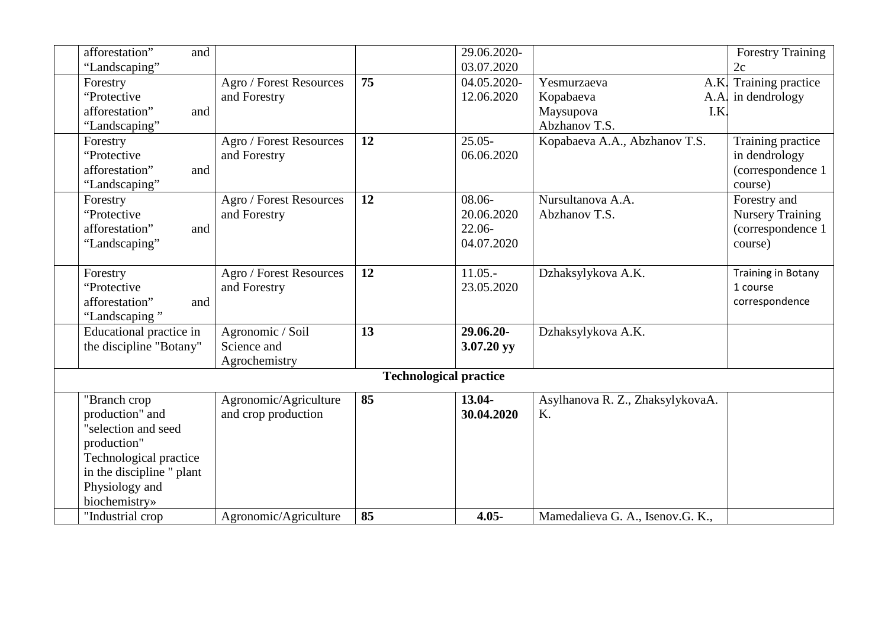| afforestation"<br>and     |                         |                               | 29.06.2020- |                                  | <b>Forestry Training</b>  |
|---------------------------|-------------------------|-------------------------------|-------------|----------------------------------|---------------------------|
| "Landscaping"             |                         |                               | 03.07.2020  |                                  | 2c                        |
| Forestry                  | Agro / Forest Resources | $\overline{75}$               | 04.05.2020- | Yesmurzaeva<br>A.K.              | Training practice         |
| "Protective               | and Forestry            |                               | 12.06.2020  | Kopabaeva<br>A.A.                | in dendrology             |
| afforestation"<br>and     |                         |                               |             | Maysupova<br>I.K                 |                           |
| "Landscaping"             |                         |                               |             | Abzhanov T.S.                    |                           |
| Forestry                  | Agro / Forest Resources | 12                            | $25.05 -$   | Kopabaeva A.A., Abzhanov T.S.    | Training practice         |
| "Protective               | and Forestry            |                               | 06.06.2020  |                                  | in dendrology             |
| afforestation"<br>and     |                         |                               |             |                                  | (correspondence 1         |
| "Landscaping"             |                         |                               |             |                                  | course)                   |
| Forestry                  | Agro / Forest Resources | 12                            | $08.06 -$   | Nursultanova A.A.                | Forestry and              |
| "Protective               | and Forestry            |                               | 20.06.2020  | Abzhanov T.S.                    | <b>Nursery Training</b>   |
| afforestation"<br>and     |                         |                               | 22.06-      |                                  | (correspondence 1         |
| "Landscaping"             |                         |                               | 04.07.2020  |                                  | course)                   |
|                           |                         |                               |             |                                  |                           |
| Forestry                  | Agro / Forest Resources | 12                            | $11.05 -$   | Dzhaksylykova A.K.               | <b>Training in Botany</b> |
| "Protective               | and Forestry            |                               | 23.05.2020  |                                  | 1 course                  |
| afforestation"<br>and     |                         |                               |             |                                  | correspondence            |
| "Landscaping"             |                         |                               |             |                                  |                           |
| Educational practice in   | Agronomic / Soil        | 13                            | 29.06.20-   | Dzhaksylykova A.K.               |                           |
| the discipline "Botany"   | Science and             |                               | 3.07.20 yy  |                                  |                           |
|                           | Agrochemistry           |                               |             |                                  |                           |
|                           |                         | <b>Technological practice</b> |             |                                  |                           |
| "Branch crop              | Agronomic/Agriculture   | 85                            | 13.04-      | Asylhanova R. Z., ZhaksylykovaA. |                           |
| production" and           | and crop production     |                               | 30.04.2020  | K.                               |                           |
| "selection and seed       |                         |                               |             |                                  |                           |
| production"               |                         |                               |             |                                  |                           |
| Technological practice    |                         |                               |             |                                  |                           |
| in the discipline " plant |                         |                               |             |                                  |                           |
| Physiology and            |                         |                               |             |                                  |                           |
| biochemistry»             |                         |                               |             |                                  |                           |
| "Industrial crop          | Agronomic/Agriculture   | 85                            | $4.05 -$    | Mamedalieva G. A., Isenov.G. K., |                           |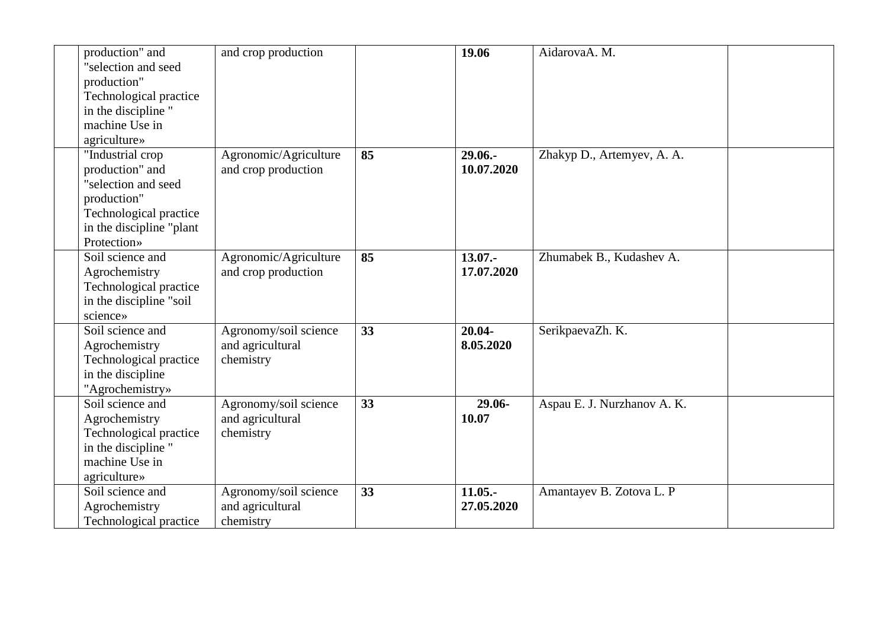| production" and<br>"selection and seed<br>production"<br>Technological practice<br>in the discipline "<br>machine Use in<br>agriculture»        | and crop production                                    |    | 19.06                    | AidarovaA. M.               |  |
|-------------------------------------------------------------------------------------------------------------------------------------------------|--------------------------------------------------------|----|--------------------------|-----------------------------|--|
| "Industrial crop<br>production" and<br>"selection and seed<br>production"<br>Technological practice<br>in the discipline "plant"<br>Protection» | Agronomic/Agriculture<br>and crop production           | 85 | $29.06 -$<br>10.07.2020  | Zhakyp D., Artemyev, A. A.  |  |
| Soil science and<br>Agrochemistry<br>Technological practice<br>in the discipline "soil<br>science»                                              | Agronomic/Agriculture<br>and crop production           | 85 | $13.07 -$<br>17.07.2020  | Zhumabek B., Kudashev A.    |  |
| Soil science and<br>Agrochemistry<br>Technological practice<br>in the discipline<br>"Agrochemistry»                                             | Agronomy/soil science<br>and agricultural<br>chemistry | 33 | $20.04 -$<br>8.05.2020   | SerikpaevaZh. K.            |  |
| Soil science and<br>Agrochemistry<br>Technological practice<br>in the discipline "<br>machine Use in<br>agriculture»                            | Agronomy/soil science<br>and agricultural<br>chemistry | 33 | 29.06-<br>10.07          | Aspau E. J. Nurzhanov A. K. |  |
| Soil science and<br>Agrochemistry<br>Technological practice                                                                                     | Agronomy/soil science<br>and agricultural<br>chemistry | 33 | $11.05. -$<br>27.05.2020 | Amantayev B. Zotova L. P    |  |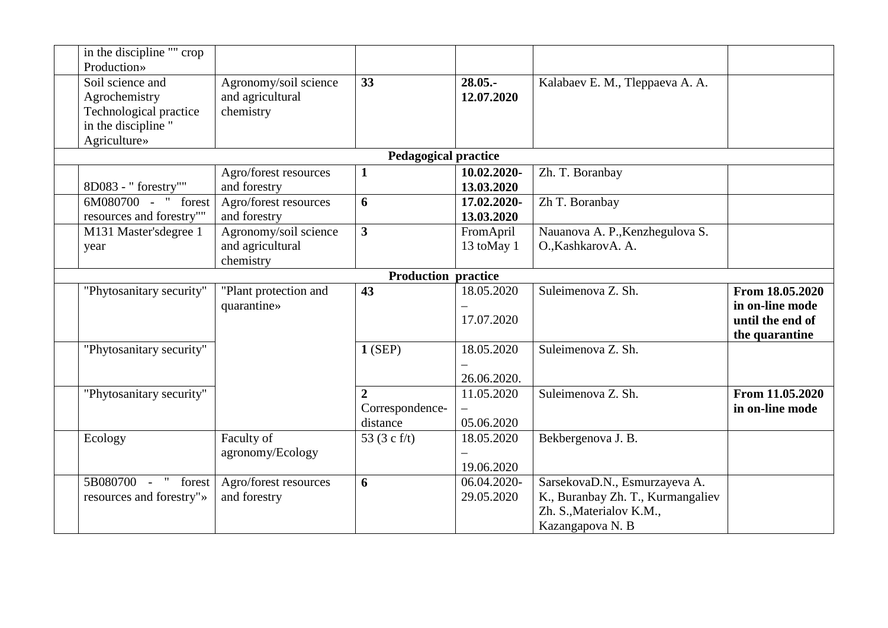| in the discipline "" crop  |                       |                             |             |                                   |                  |
|----------------------------|-----------------------|-----------------------------|-------------|-----------------------------------|------------------|
| Production»                |                       |                             |             |                                   |                  |
| Soil science and           | Agronomy/soil science | 33                          | $28.05. -$  | Kalabaev E. M., Tleppaeva A. A.   |                  |
| Agrochemistry              | and agricultural      |                             | 12.07.2020  |                                   |                  |
| Technological practice     | chemistry             |                             |             |                                   |                  |
| in the discipline "        |                       |                             |             |                                   |                  |
| Agriculture»               |                       |                             |             |                                   |                  |
|                            |                       | <b>Pedagogical practice</b> |             |                                   |                  |
|                            | Agro/forest resources | $\mathbf{1}$                | 10.02.2020- | Zh. T. Boranbay                   |                  |
| 8D083 - " forestry""       | and forestry          |                             | 13.03.2020  |                                   |                  |
| 6M080700 - " forest        | Agro/forest resources | 6                           | 17.02.2020- | Zh T. Boranbay                    |                  |
| resources and forestry""   | and forestry          |                             | 13.03.2020  |                                   |                  |
| M131 Master'sdegree 1      | Agronomy/soil science | $\overline{\mathbf{3}}$     | FromApril   | Nauanova A. P., Kenzhegulova S.   |                  |
| year                       | and agricultural      |                             | 13 toMay 1  | O., KashkarovA. A.                |                  |
|                            | chemistry             |                             |             |                                   |                  |
| <b>Production practice</b> |                       |                             |             |                                   |                  |
| "Phytosanitary security"   | "Plant protection and | 43                          | 18.05.2020  | Suleimenova Z. Sh.                | From 18.05.2020  |
|                            | quarantine»           |                             |             |                                   | in on-line mode  |
|                            |                       |                             | 17.07.2020  |                                   | until the end of |
|                            |                       |                             |             |                                   | the quarantine   |
| "Phytosanitary security"   |                       | $1$ (SEP)                   | 18.05.2020  | Suleimenova Z. Sh.                |                  |
|                            |                       |                             |             |                                   |                  |
|                            |                       |                             | 26.06.2020. |                                   |                  |
| "Phytosanitary security"   |                       | $\overline{2}$              | 11.05.2020  | Suleimenova Z. Sh.                | From 11.05.2020  |
|                            |                       | Correspondence-             |             |                                   | in on-line mode  |
|                            |                       | distance                    | 05.06.2020  |                                   |                  |
| Ecology                    | Faculty of            | 53 $(3 c f/t)$              | 18.05.2020  | Bekbergenova J. B.                |                  |
|                            | agronomy/Ecology      |                             |             |                                   |                  |
|                            |                       |                             | 19.06.2020  |                                   |                  |
| 5B080700 - " forest        | Agro/forest resources | 6                           | 06.04.2020- | SarsekovaD.N., Esmurzayeva A.     |                  |
| resources and forestry"»   | and forestry          |                             | 29.05.2020  | K., Buranbay Zh. T., Kurmangaliev |                  |
|                            |                       |                             |             | Zh. S., Materialov K.M.,          |                  |
|                            |                       |                             |             | Kazangapova N. B                  |                  |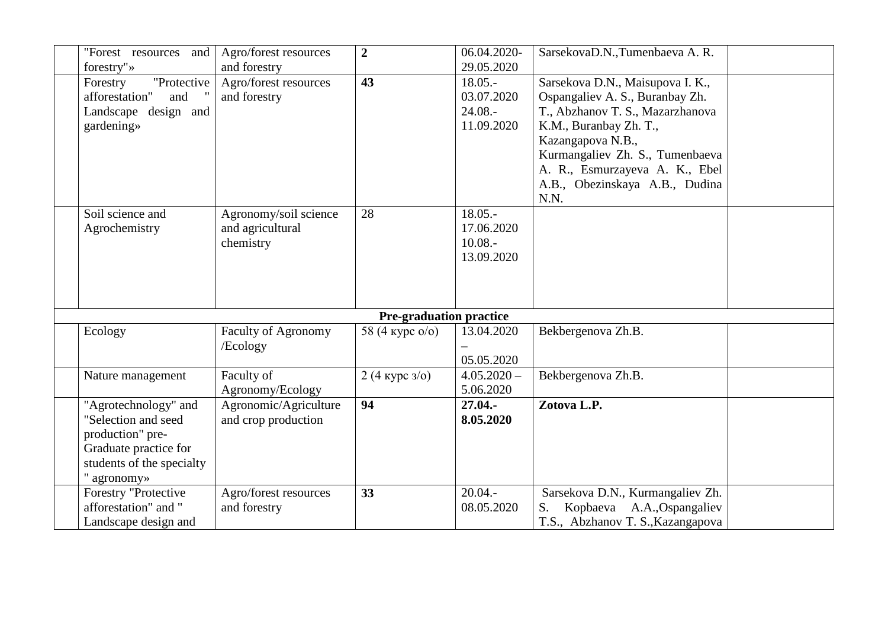| "Forest resources and             | Agro/forest resources                 | $\boldsymbol{2}$               | 06.04.2020-<br>29.05.2020 | SarsekovaD.N., Tumenbaeva A.R.                                      |  |
|-----------------------------------|---------------------------------------|--------------------------------|---------------------------|---------------------------------------------------------------------|--|
| forestry"»<br>"Protective         | and forestry                          | 43                             | $18.05 -$                 |                                                                     |  |
| Forestry<br>afforestation"<br>and | Agro/forest resources<br>and forestry |                                | 03.07.2020                | Sarsekova D.N., Maisupova I. K.,<br>Ospangaliev A. S., Buranbay Zh. |  |
| Landscape design and              |                                       |                                | $24.08 -$                 | T., Abzhanov T. S., Mazarzhanova                                    |  |
| gardening»                        |                                       |                                | 11.09.2020                | K.M., Buranbay Zh. T.,                                              |  |
|                                   |                                       |                                |                           | Kazangapova N.B.,                                                   |  |
|                                   |                                       |                                |                           | Kurmangaliev Zh. S., Tumenbaeva                                     |  |
|                                   |                                       |                                |                           | A. R., Esmurzayeva A. K., Ebel                                      |  |
|                                   |                                       |                                |                           | A.B., Obezinskaya A.B., Dudina                                      |  |
|                                   |                                       |                                |                           | N.N.                                                                |  |
| Soil science and                  | Agronomy/soil science                 | 28                             | $18.05 -$                 |                                                                     |  |
| Agrochemistry                     | and agricultural                      |                                | 17.06.2020                |                                                                     |  |
|                                   | chemistry                             |                                | $10.08 -$                 |                                                                     |  |
|                                   |                                       |                                | 13.09.2020                |                                                                     |  |
|                                   |                                       |                                |                           |                                                                     |  |
|                                   |                                       |                                |                           |                                                                     |  |
|                                   |                                       |                                |                           |                                                                     |  |
|                                   |                                       | <b>Pre-graduation practice</b> |                           |                                                                     |  |
| Ecology                           | <b>Faculty of Agronomy</b>            | 58 (4 kypc $o/o$ )             | 13.04.2020                | Bekbergenova Zh.B.                                                  |  |
|                                   | /Ecology                              |                                |                           |                                                                     |  |
|                                   |                                       |                                | 05.05.2020                |                                                                     |  |
| Nature management                 | Faculty of                            | 2 (4 kypc $3/0$ )              | $4.05.2020 -$             | Bekbergenova Zh.B.                                                  |  |
|                                   | Agronomy/Ecology                      |                                | 5.06.2020                 |                                                                     |  |
| "Agrotechnology" and              | Agronomic/Agriculture                 | 94                             | $27.04. -$                | Zotova L.P.                                                         |  |
| "Selection and seed               | and crop production                   |                                | 8.05.2020                 |                                                                     |  |
| production" pre-                  |                                       |                                |                           |                                                                     |  |
| Graduate practice for             |                                       |                                |                           |                                                                     |  |
| students of the specialty         |                                       |                                |                           |                                                                     |  |
| " agronomy»                       |                                       |                                |                           |                                                                     |  |
| Forestry "Protective              | Agro/forest resources                 | 33                             | $20.04. -$                | Sarsekova D.N., Kurmangaliev Zh.                                    |  |
| afforestation" and "              | and forestry                          |                                | 08.05.2020                | Kopbaeva A.A., Ospangaliev<br>S.                                    |  |
| Landscape design and              |                                       |                                |                           | T.S., Abzhanov T. S., Kazangapova                                   |  |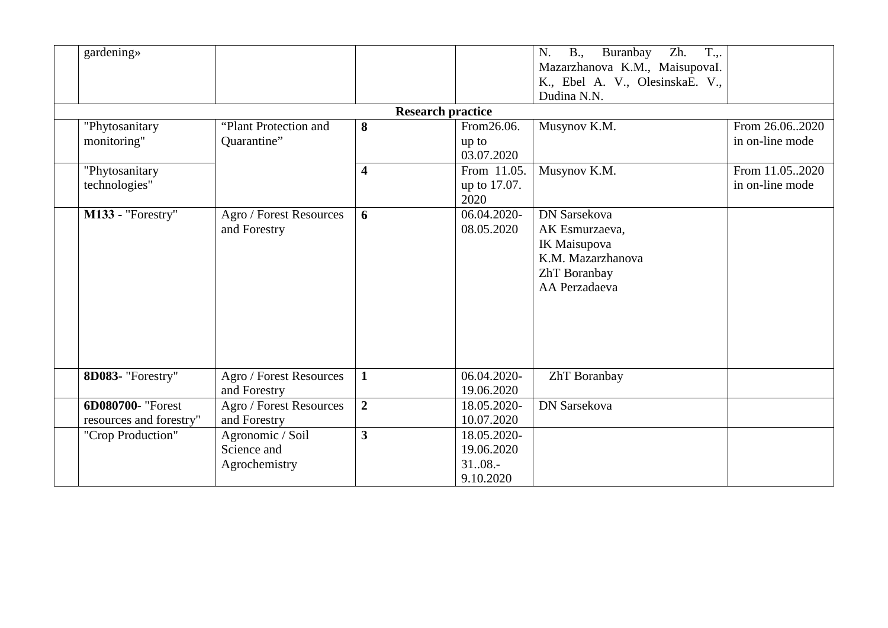| gardening»                                   |                                                  | <b>Research practice</b> |                                                     | $T_{\cdot,\cdot}$<br>N.<br>$B_{\cdot}$<br>Buranbay<br>Zh.<br>Mazarzhanova K.M., MaisupovaI.<br>K., Ebel A. V., OlesinskaE. V.,<br>Dudina N.N. |                                   |
|----------------------------------------------|--------------------------------------------------|--------------------------|-----------------------------------------------------|-----------------------------------------------------------------------------------------------------------------------------------------------|-----------------------------------|
| "Phytosanitary<br>monitoring"                | "Plant Protection and<br>Quarantine"             | 8                        | From 26.06.<br>up to<br>03.07.2020                  | Musynov K.M.                                                                                                                                  | From 26.062020<br>in on-line mode |
| "Phytosanitary<br>technologies"              |                                                  | $\overline{\mathbf{4}}$  | From 11.05.<br>up to 17.07.<br>2020                 | Musynov K.M.                                                                                                                                  | From 11.052020<br>in on-line mode |
| M133 - "Forestry"                            | Agro / Forest Resources<br>and Forestry          | 6                        | 06.04.2020-<br>08.05.2020                           | <b>DN Sarsekova</b><br>AK Esmurzaeva,<br>IK Maisupova<br>K.M. Mazarzhanova<br>ZhT Boranbay<br>AA Perzadaeva                                   |                                   |
| 8D083- "Forestry"                            | Agro / Forest Resources<br>and Forestry          | $\mathbf{1}$             | 06.04.2020-<br>19.06.2020                           | ZhT Boranbay                                                                                                                                  |                                   |
| 6D080700- "Forest<br>resources and forestry" | Agro / Forest Resources<br>and Forestry          | $\overline{2}$           | 18.05.2020-<br>10.07.2020                           | <b>DN</b> Sarsekova                                                                                                                           |                                   |
| "Crop Production"                            | Agronomic / Soil<br>Science and<br>Agrochemistry | $\overline{\mathbf{3}}$  | 18.05.2020-<br>19.06.2020<br>$3108. -$<br>9.10.2020 |                                                                                                                                               |                                   |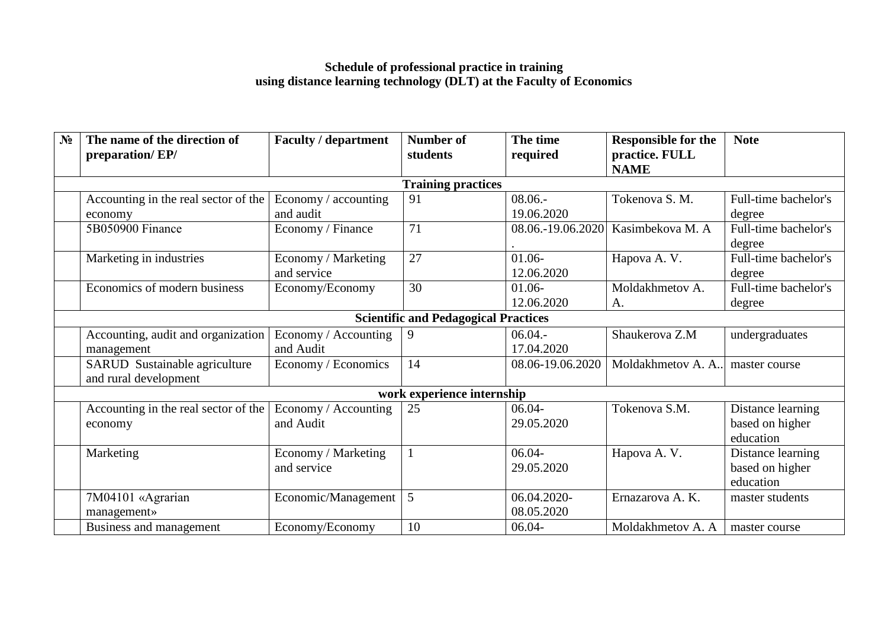#### **Schedule of professional practice in training using distance learning technology (DLT) at the Faculty of Economics**

| N <sub>2</sub> | The name of the direction of<br>preparation/EP/ | <b>Faculty / department</b> | <b>Number of</b><br>students                | The time<br>required | <b>Responsible for the</b><br>practice. FULL | <b>Note</b>          |
|----------------|-------------------------------------------------|-----------------------------|---------------------------------------------|----------------------|----------------------------------------------|----------------------|
|                |                                                 |                             |                                             |                      | <b>NAME</b>                                  |                      |
|                |                                                 |                             | <b>Training practices</b>                   |                      |                                              |                      |
|                | Accounting in the real sector of the            | Economy / accounting        | 91                                          | $08.06 -$            | Tokenova S. M.                               | Full-time bachelor's |
|                | economy                                         | and audit                   |                                             | 19.06.2020           |                                              | degree               |
|                | 5B050900 Finance                                | Economy / Finance           | 71                                          | 08.06.-19.06.2020    | Kasimbekova M. A                             | Full-time bachelor's |
|                |                                                 |                             |                                             |                      |                                              | degree               |
|                | Marketing in industries                         | Economy / Marketing         | 27                                          | $01.06 -$            | Hapova A.V.                                  | Full-time bachelor's |
|                |                                                 | and service                 |                                             | 12.06.2020           |                                              | degree               |
|                | Economics of modern business                    | Economy/Economy             | 30                                          | $01.06 -$            | Moldakhmetov A.                              | Full-time bachelor's |
|                |                                                 |                             |                                             | 12.06.2020           | A.                                           | degree               |
|                |                                                 |                             | <b>Scientific and Pedagogical Practices</b> |                      |                                              |                      |
|                | Accounting, audit and organization              | Economy / Accounting        | 9                                           | 06.04.               | Shaukerova Z.M                               | undergraduates       |
|                | management                                      | and Audit                   |                                             | 17.04.2020           |                                              |                      |
|                | SARUD Sustainable agriculture                   | Economy / Economics         | 14                                          | 08.06-19.06.2020     | Moldakhmetov A. A                            | master course        |
|                | and rural development                           |                             |                                             |                      |                                              |                      |
|                |                                                 |                             | work experience internship                  |                      |                                              |                      |
|                | Accounting in the real sector of the            | Economy / Accounting        | 25                                          | $06.04 -$            | Tokenova S.M.                                | Distance learning    |
|                | economy                                         | and Audit                   |                                             | 29.05.2020           |                                              | based on higher      |
|                |                                                 |                             |                                             |                      |                                              | education            |
|                | Marketing                                       | Economy / Marketing         |                                             | $06.04 -$            | Hapova A.V.                                  | Distance learning    |
|                |                                                 | and service                 |                                             | 29.05.2020           |                                              | based on higher      |
|                |                                                 |                             |                                             |                      |                                              | education            |
|                | 7M04101 «Agrarian                               | Economic/Management         | 5                                           | 06.04.2020-          | Ernazarova A. K.                             | master students      |
|                | management»                                     |                             |                                             | 08.05.2020           |                                              |                      |
|                | Business and management                         | Economy/Economy             | 10                                          | $06.04 -$            | Moldakhmetov A. A                            | master course        |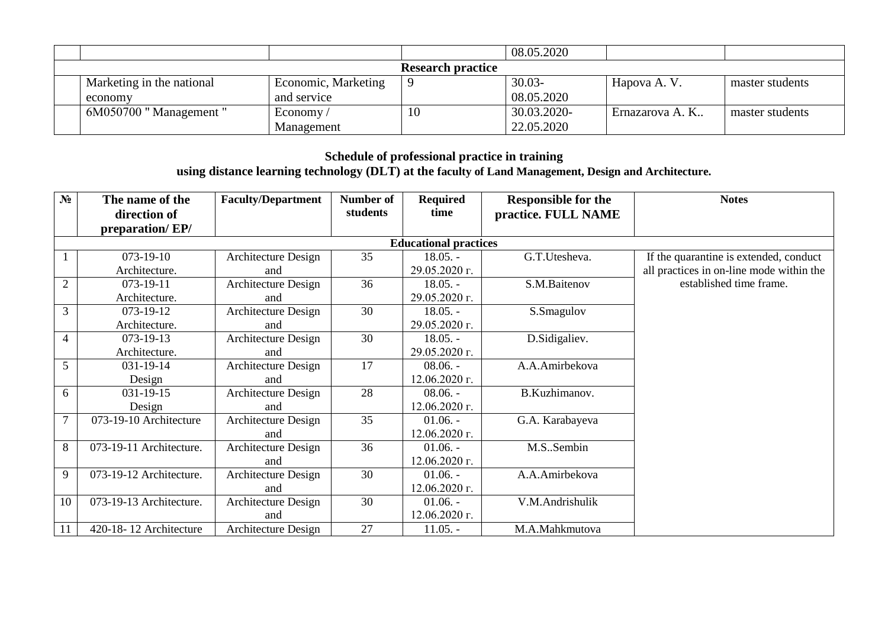|                           |                     |     | 08.05.2020  |                 |                 |  |  |  |
|---------------------------|---------------------|-----|-------------|-----------------|-----------------|--|--|--|
| <b>Research practice</b>  |                     |     |             |                 |                 |  |  |  |
| Marketing in the national | Economic, Marketing | 19) | $30.03 -$   | Hapova A.V.     | master students |  |  |  |
| economy                   | and service         |     | 08.05.2020  |                 |                 |  |  |  |
| $6M050700$ "Management"   | Economy $\sqrt{ }$  | 10  | 30.03.2020- | Ernazarova A. K | master students |  |  |  |
|                           | Management          |     | 22.05.2020  |                 |                 |  |  |  |

#### **Schedule of professional practice in training using distance learning technology (DLT) at the faculty of Land Management, Design and Architecture.**

| $N_2$          | The name of the         | <b>Faculty/Department</b>    | Number of | Required        | <b>Responsible for the</b> | <b>Notes</b>                             |
|----------------|-------------------------|------------------------------|-----------|-----------------|----------------------------|------------------------------------------|
|                | direction of            |                              | students  | time            | practice. FULL NAME        |                                          |
|                | preparation/EP/         |                              |           |                 |                            |                                          |
|                |                         | <b>Educational practices</b> |           |                 |                            |                                          |
|                | $073-19-10$             | Architecture Design          | 35        | $18.05. -$      | G.T.Utesheva.              | If the quarantine is extended, conduct   |
|                | Architecture.           | and                          |           | 29.05.2020 г.   |                            | all practices in on-line mode within the |
| $\overline{2}$ | 073-19-11               | Architecture Design          | 36        | $18.05. -$      | S.M.Baitenov               | established time frame.                  |
|                | Architecture.           | and                          |           | 29.05.2020 г.   |                            |                                          |
| 3              | $073 - 19 - 12$         | Architecture Design          | 30        | $18.05. -$      | S.Smagulov                 |                                          |
|                | Architecture.           | and                          |           | 29.05.2020 г.   |                            |                                          |
| $\overline{4}$ | $073 - 19 - 13$         | Architecture Design          | 30        | $18.05. -$      | D.Sidigaliev.              |                                          |
|                | Architecture.           | and                          |           | 29.05.2020 г.   |                            |                                          |
| 5              | 031-19-14               | Architecture Design          | 17        | $08.06. -$      | A.A.Amirbekova             |                                          |
|                | Design                  | and                          |           | 12.06.2020 г.   |                            |                                          |
| 6              | $031 - 19 - 15$         | Architecture Design          | 28        | $08.06. -$      | B.Kuzhimanov.              |                                          |
|                | Design                  | and                          |           | 12.06.2020 г.   |                            |                                          |
| $\overline{7}$ | 073-19-10 Architecture  | Architecture Design          | 35        | $01.06. -$      | G.A. Karabayeva            |                                          |
|                |                         | and                          |           | 12.06.2020 г.   |                            |                                          |
| 8              | 073-19-11 Architecture. | Architecture Design          | 36        | $01.06. -$      | M.SSembin                  |                                          |
|                |                         | and                          |           | 12.06.2020 г.   |                            |                                          |
| 9              | 073-19-12 Architecture. | Architecture Design          | 30        | $01.06. -$      | A.A.Amirbekova             |                                          |
|                |                         | and                          |           | $12.06.2020$ r. |                            |                                          |
| 10             | 073-19-13 Architecture. | Architecture Design          | 30        | $01.06. -$      | V.M.Andrishulik            |                                          |
|                |                         | and                          |           | 12.06.2020 г.   |                            |                                          |
| 11             | 420-18-12 Architecture  | Architecture Design          | 27        | $11.05. -$      | M.A.Mahkmutova             |                                          |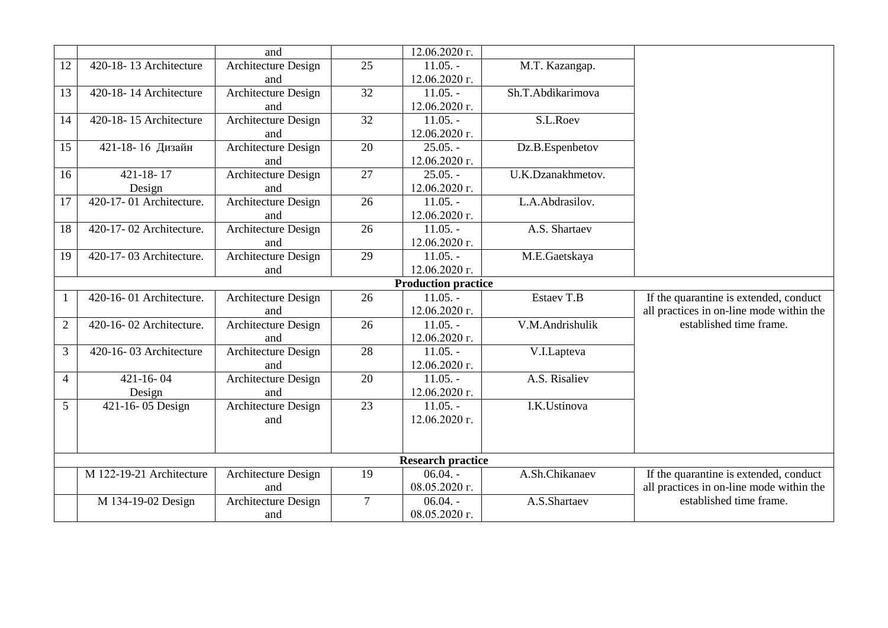|                |                          | and                        |                 | 12.06.2020 г.              |                   |                                          |
|----------------|--------------------------|----------------------------|-----------------|----------------------------|-------------------|------------------------------------------|
| 12             | 420-18-13 Architecture   | Architecture Design        | 25              | $11.05. -$                 | M.T. Kazangap.    |                                          |
|                |                          | and                        |                 | 12.06.2020 г.              |                   |                                          |
| 13             | 420-18-14 Architecture   | Architecture Design        | 32              | $11.05. -$                 | Sh.T.Abdikarimova |                                          |
|                |                          | and                        |                 | 12.06.2020 г.              |                   |                                          |
| 14             | 420-18-15 Architecture   | <b>Architecture Design</b> | $\overline{32}$ | $11.05. -$                 | S.L.Roev          |                                          |
|                |                          | and                        |                 | 12.06.2020 г.              |                   |                                          |
| 15             | 421-18-16 Дизайн         | Architecture Design        | 20              | $25.05. -$                 | Dz.B.Espenbetov   |                                          |
|                |                          | and                        |                 | 12.06.2020 г.              |                   |                                          |
| 16             | $421 - 18 - 17$          | <b>Architecture Design</b> | 27              | $25.05. -$                 | U.K.Dzanakhmetov. |                                          |
|                | Design                   | and                        |                 | 12.06.2020 г.              |                   |                                          |
| 17             | 420-17-01 Architecture.  | Architecture Design        | 26              | $11.05. -$                 | L.A.Abdrasilov.   |                                          |
|                |                          | and                        |                 | 12.06.2020 г.              |                   |                                          |
| 18             | 420-17-02 Architecture.  | Architecture Design        | $\overline{26}$ | $11.05. -$                 | A.S. Shartaev     |                                          |
|                |                          | and                        |                 | $12.06.2020$ $\Gamma$ .    |                   |                                          |
| 19             | 420-17-03 Architecture.  | <b>Architecture Design</b> | 29              | $11.05. -$                 | M.E.Gaetskaya     |                                          |
|                |                          | and                        |                 | 12.06.2020 г.              |                   |                                          |
|                |                          |                            |                 | <b>Production practice</b> |                   |                                          |
| $\mathbf{1}$   | 420-16-01 Architecture.  | Architecture Design        | 26              | $11.05. -$                 | Estaev T.B        | If the quarantine is extended, conduct   |
|                |                          | and                        |                 | 12.06.2020 г.              |                   | all practices in on-line mode within the |
| $\overline{2}$ | 420-16-02 Architecture.  | Architecture Design        | 26              | $11.05. -$                 | V.M.Andrishulik   | established time frame.                  |
|                |                          | and                        |                 | 12.06.2020 г.              |                   |                                          |
| 3              | 420-16-03 Architecture   | Architecture Design        | 28              | $11.05. -$                 | V.I.Lapteva       |                                          |
|                |                          | and                        |                 | 12.06.2020 г.              |                   |                                          |
| $\overline{4}$ | $421 - 16 - 04$          | Architecture Design        | 20              | $11.05. -$                 | A.S. Risaliev     |                                          |
|                | Design                   | and                        |                 | 12.06.2020 г.              |                   |                                          |
| 5              | 421-16-05 Design         | Architecture Design        | $\overline{23}$ | $11.05. -$                 | I.K.Ustinova      |                                          |
|                |                          | and                        |                 | 12.06.2020 г.              |                   |                                          |
|                |                          |                            |                 |                            |                   |                                          |
|                |                          |                            |                 |                            |                   |                                          |
|                |                          |                            |                 | <b>Research practice</b>   |                   |                                          |
|                | M 122-19-21 Architecture | Architecture Design        | 19              | $06.04. -$                 | A.Sh.Chikanaev    | If the quarantine is extended, conduct   |
|                |                          | and                        |                 | 08.05.2020 г.              |                   | all practices in on-line mode within the |
|                | M 134-19-02 Design       | Architecture Design        | $\overline{7}$  | $06.04. -$                 | A.S.Shartaev      | established time frame.                  |
|                |                          | and                        |                 | $08.05.2020$ г.            |                   |                                          |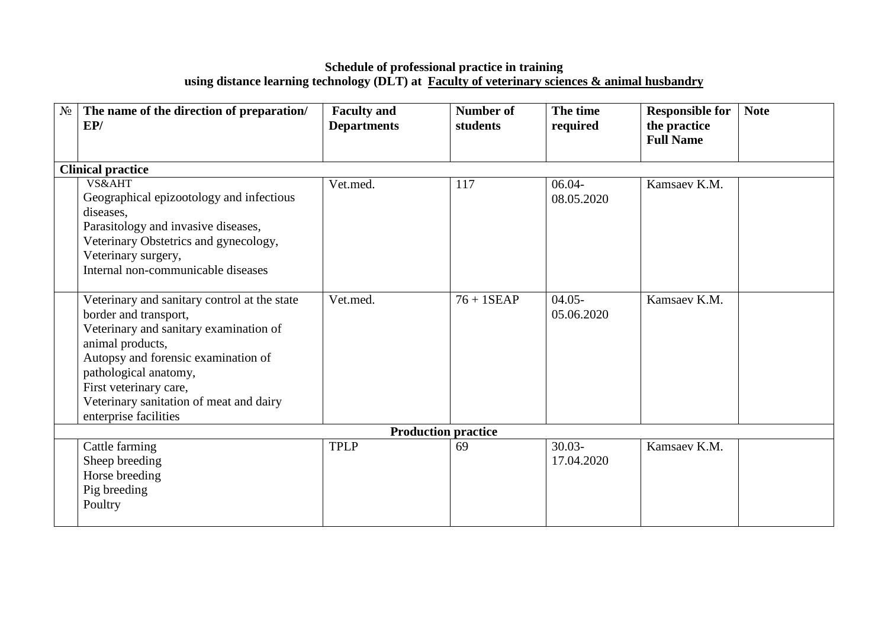#### **Schedule of professional practice in training using distance learning technology (DLT) at [Faculty of veterinary sciences & animal husbandry](http://kazatu.kz/en/faculties/faculty-of-veterinary-sciences-animal-husbandry/)**

| $N_2$ | The name of the direction of preparation/<br>EP/                                                                                                                                                                                                                                                  | <b>Faculty and</b><br><b>Departments</b> | <b>Number of</b><br>students | The time<br>required    | <b>Responsible for</b><br>the practice<br><b>Full Name</b> | <b>Note</b> |
|-------|---------------------------------------------------------------------------------------------------------------------------------------------------------------------------------------------------------------------------------------------------------------------------------------------------|------------------------------------------|------------------------------|-------------------------|------------------------------------------------------------|-------------|
|       | <b>Clinical practice</b>                                                                                                                                                                                                                                                                          |                                          |                              |                         |                                                            |             |
|       | VS&AHT<br>Geographical epizootology and infectious<br>diseases,<br>Parasitology and invasive diseases,<br>Veterinary Obstetrics and gynecology,<br>Veterinary surgery,<br>Internal non-communicable diseases                                                                                      | Vet.med.                                 | 117                          | $06.04 -$<br>08.05.2020 | Kamsaev K.M.                                               |             |
|       | Veterinary and sanitary control at the state<br>border and transport,<br>Veterinary and sanitary examination of<br>animal products,<br>Autopsy and forensic examination of<br>pathological anatomy,<br>First veterinary care,<br>Veterinary sanitation of meat and dairy<br>enterprise facilities | Vet.med.                                 | $76 + 1$ SEAP                | $04.05 -$<br>05.06.2020 | Kamsaev K.M.                                               |             |
|       |                                                                                                                                                                                                                                                                                                   |                                          | <b>Production practice</b>   |                         |                                                            |             |
|       | Cattle farming<br>Sheep breeding<br>Horse breeding<br>Pig breeding<br>Poultry                                                                                                                                                                                                                     | <b>TPLP</b>                              | 69                           | $30.03 -$<br>17.04.2020 | Kamsaev K.M.                                               |             |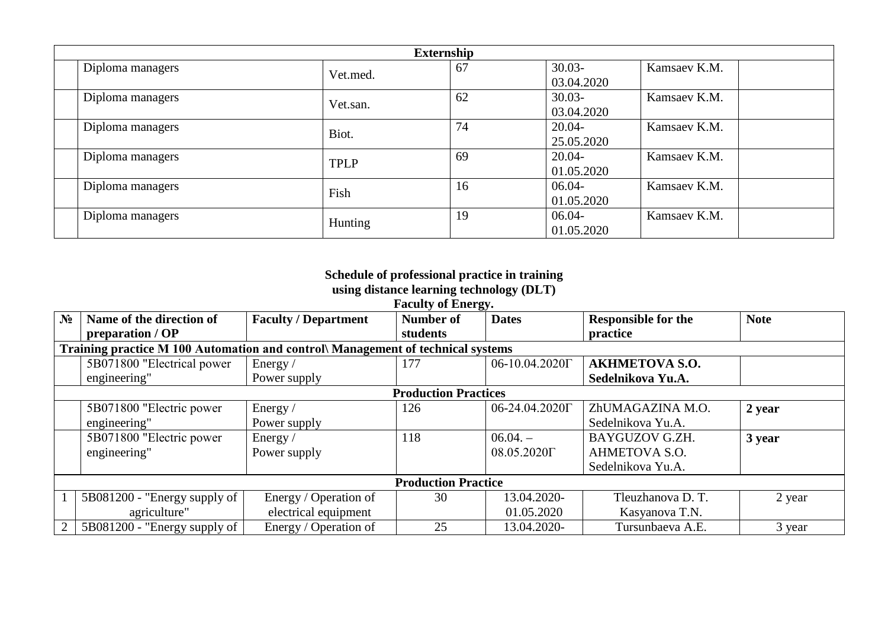|                  | <b>Externship</b> |    |            |              |  |
|------------------|-------------------|----|------------|--------------|--|
| Diploma managers | Vet.med.          | 67 | $30.03 -$  | Kamsaev K.M. |  |
|                  |                   |    | 03.04.2020 |              |  |
| Diploma managers | Vet.san.          | 62 | $30.03 -$  | Kamsaev K.M. |  |
|                  |                   |    | 03.04.2020 |              |  |
| Diploma managers | Biot.             | 74 | $20.04 -$  | Kamsaev K.M. |  |
|                  |                   |    | 25.05.2020 |              |  |
| Diploma managers | <b>TPLP</b>       | 69 | $20.04 -$  | Kamsaev K.M. |  |
|                  |                   |    | 01.05.2020 |              |  |
| Diploma managers | Fish              | 16 | $06.04 -$  | Kamsaev K.M. |  |
|                  |                   |    | 01.05.2020 |              |  |
| Diploma managers | Hunting           | 19 | 06.04-     | Kamsaev K.M. |  |
|                  |                   |    | 01.05.2020 |              |  |

#### **Schedule of professional practice in training using distance learning technology (DLT)**

| <b>Faculty of Energy.</b> |
|---------------------------|

| N <sub>2</sub> | Name of the direction of                                                       | <b>Faculty / Department</b> | Number of                  | <b>Dates</b>           | <b>Responsible for the</b> | <b>Note</b> |  |  |  |  |
|----------------|--------------------------------------------------------------------------------|-----------------------------|----------------------------|------------------------|----------------------------|-------------|--|--|--|--|
|                | preparation / OP                                                               |                             | students                   |                        | practice                   |             |  |  |  |  |
|                | Training practice M 100 Automation and control Management of technical systems |                             |                            |                        |                            |             |  |  |  |  |
|                | 5B071800 "Electrical power                                                     | Energy $/$                  | 177                        | 06-10.04.2020 $\Gamma$ | <b>AKHMETOVA S.O.</b>      |             |  |  |  |  |
|                | engineering"                                                                   | Power supply                |                            |                        | Sedelnikova Yu.A.          |             |  |  |  |  |
|                | <b>Production Practices</b>                                                    |                             |                            |                        |                            |             |  |  |  |  |
|                | 5B071800 "Electric power                                                       | Energy /                    | 126                        | 06-24.04.2020 $\Gamma$ | ZhUMAGAZINA M.O.           | 2 year      |  |  |  |  |
|                | engineering"                                                                   | Power supply                |                            |                        | Sedelnikova Yu.A.          |             |  |  |  |  |
|                | 5B071800 "Electric power                                                       | Energy /                    | 118                        | $06.04. -$             | BAYGUZOV G.ZH.             | 3 year      |  |  |  |  |
|                | engineering"                                                                   | Power supply                |                            | 08.05.2020 $\Gamma$    | AHMETOVA S.O.              |             |  |  |  |  |
|                |                                                                                |                             |                            |                        | Sedelnikova Yu.A.          |             |  |  |  |  |
|                |                                                                                |                             | <b>Production Practice</b> |                        |                            |             |  |  |  |  |
|                | 5B081200 - "Energy supply of                                                   | Energy / Operation of       | 30                         | 13.04.2020-            | Tleuzhanova D. T.          | 2 year      |  |  |  |  |
|                | agriculture"                                                                   | electrical equipment        |                            | 01.05.2020             | Kasyanova T.N.             |             |  |  |  |  |
| $\overline{2}$ | 5B081200 - "Energy supply of                                                   | Energy / Operation of       | 25                         | 13.04.2020-            | Tursunbaeva A.E.           | 3 year      |  |  |  |  |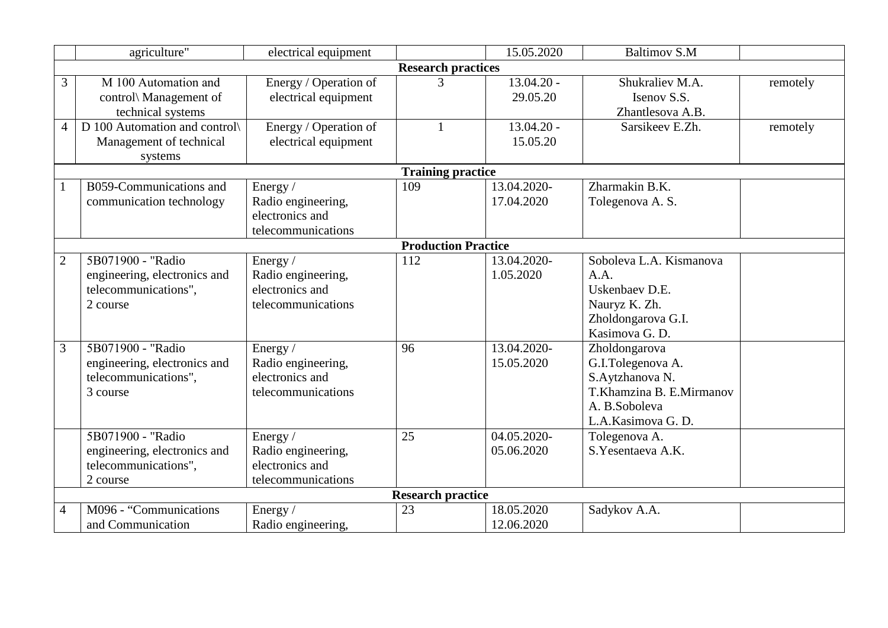|                | agriculture"                                                                          | electrical equipment                                                      |                            | 15.05.2020                | <b>Baltimov S.M</b>                                                                                                     |          |
|----------------|---------------------------------------------------------------------------------------|---------------------------------------------------------------------------|----------------------------|---------------------------|-------------------------------------------------------------------------------------------------------------------------|----------|
|                |                                                                                       |                                                                           | <b>Research practices</b>  |                           |                                                                                                                         |          |
| 3              | M 100 Automation and<br>control\ Management of<br>technical systems                   | Energy / Operation of<br>electrical equipment                             | 3                          | $13.04.20 -$<br>29.05.20  | Shukraliev M.A.<br>Isenov S.S.<br>Zhantlesova A.B.                                                                      | remotely |
| 4              | D 100 Automation and control<br>Management of technical<br>systems                    | Energy / Operation of<br>electrical equipment                             | $\mathbf{1}$               | $13.04.20 -$<br>15.05.20  | Sarsikeev E.Zh.                                                                                                         | remotely |
|                |                                                                                       |                                                                           | <b>Training practice</b>   |                           |                                                                                                                         |          |
|                | B059-Communications and<br>communication technology                                   | Energy /<br>Radio engineering,<br>electronics and<br>telecommunications   | 109                        | 13.04.2020-<br>17.04.2020 | Zharmakin B.K.<br>Tolegenova A. S.                                                                                      |          |
|                |                                                                                       |                                                                           | <b>Production Practice</b> |                           |                                                                                                                         |          |
| $\overline{2}$ | 5B071900 - "Radio<br>engineering, electronics and<br>telecommunications",<br>2 course | Energy $/$<br>Radio engineering,<br>electronics and<br>telecommunications | 112                        | 13.04.2020-<br>1.05.2020  | Soboleva L.A. Kismanova<br>A.A.<br>Uskenbaev D.E.<br>Nauryz K. Zh.<br>Zholdongarova G.I.<br>Kasimova G. D.              |          |
| 3              | 5B071900 - "Radio<br>engineering, electronics and<br>telecommunications",<br>3 course | Energy /<br>Radio engineering,<br>electronics and<br>telecommunications   | 96                         | 13.04.2020-<br>15.05.2020 | Zholdongarova<br>G.I.Tolegenova A.<br>S.Aytzhanova N.<br>T.Khamzina B. E.Mirmanov<br>A. B.Soboleva<br>L.A.Kasimova G.D. |          |
|                | 5B071900 - "Radio<br>engineering, electronics and<br>telecommunications",<br>2 course | Energy /<br>Radio engineering,<br>electronics and<br>telecommunications   | 25                         | 04.05.2020-<br>05.06.2020 | Tolegenova A.<br>S.Yesentaeva A.K.                                                                                      |          |
|                |                                                                                       |                                                                           | <b>Research practice</b>   |                           |                                                                                                                         |          |
| $\overline{4}$ | M096 - "Communications<br>and Communication                                           | Energy/<br>Radio engineering,                                             | 23                         | 18.05.2020<br>12.06.2020  | Sadykov A.A.                                                                                                            |          |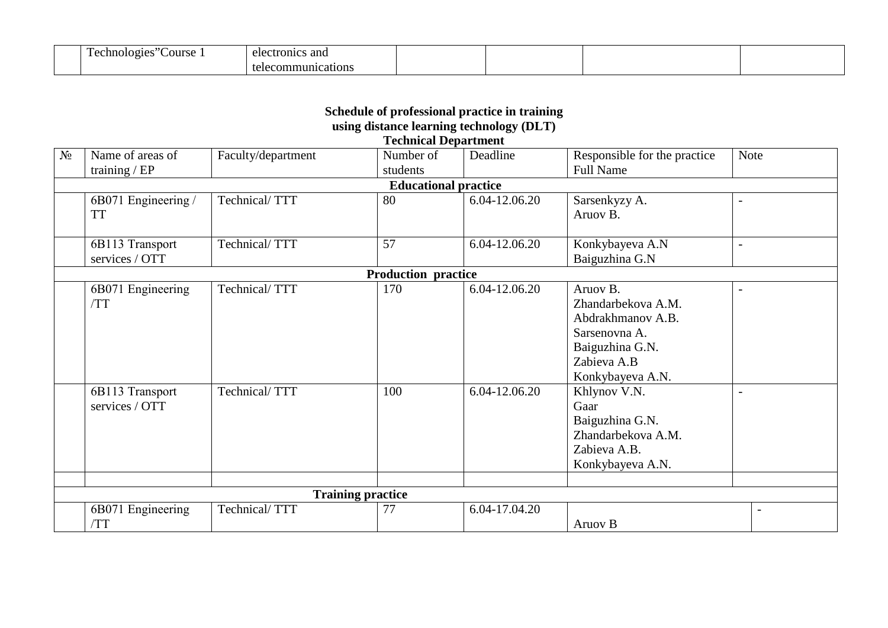| . .<br>ourse<br>chno.<br>.01 <sup>2</sup><br>) 1 (<br>$\cdot$ | ≒and<br>ete<br>ectronic |  |  |
|---------------------------------------------------------------|-------------------------|--|--|
|                                                               | าบทาง<br>10r            |  |  |

#### **Schedule of professional practice in training using distance learning technology (DLT) Technical Department**

| N <sub>0</sub> | Name of areas of    | Faculty/department       | Number of                   | Deadline      | Responsible for the practice | <b>Note</b>              |
|----------------|---------------------|--------------------------|-----------------------------|---------------|------------------------------|--------------------------|
|                | training $/EP$      |                          | students                    |               | <b>Full Name</b>             |                          |
|                |                     |                          | <b>Educational practice</b> |               |                              |                          |
|                | 6B071 Engineering / | Technical/TTT            | 80                          | 6.04-12.06.20 | Sarsenkyzy A.                | $\overline{\phantom{a}}$ |
|                | <b>TT</b>           |                          |                             |               | Aruov B.                     |                          |
|                |                     |                          |                             |               |                              |                          |
|                | 6B113 Transport     | Technical/TTT            | 57                          | 6.04-12.06.20 | Konkybayeva A.N              |                          |
|                | services / OTT      |                          |                             |               | Baiguzhina G.N               |                          |
|                |                     |                          | <b>Production practice</b>  |               |                              |                          |
|                | 6B071 Engineering   | Technical/TTT            | 170                         | 6.04-12.06.20 | Aruov B.                     |                          |
|                | /TT                 |                          |                             |               | Zhandarbekova A.M.           |                          |
|                |                     |                          |                             |               | Abdrakhmanov A.B.            |                          |
|                |                     |                          |                             |               | Sarsenovna A.                |                          |
|                |                     |                          |                             |               | Baiguzhina G.N.              |                          |
|                |                     |                          |                             |               | Zabieva A.B                  |                          |
|                |                     |                          |                             |               | Konkybayeva A.N.             |                          |
|                | 6B113 Transport     | Technical/TTT            | 100                         | 6.04-12.06.20 | Khlynov V.N.                 |                          |
|                | services / OTT      |                          |                             |               | Gaar                         |                          |
|                |                     |                          |                             |               | Baiguzhina G.N.              |                          |
|                |                     |                          |                             |               | Zhandarbekova A.M.           |                          |
|                |                     |                          |                             |               | Zabieva A.B.                 |                          |
|                |                     |                          |                             |               | Konkybayeva A.N.             |                          |
|                |                     |                          |                             |               |                              |                          |
|                |                     | <b>Training practice</b> |                             |               |                              |                          |
|                | 6B071 Engineering   | Technical/TTT            | 77                          | 6.04-17.04.20 |                              | $\overline{\phantom{a}}$ |
|                | /TT                 |                          |                             |               | Aruov B                      |                          |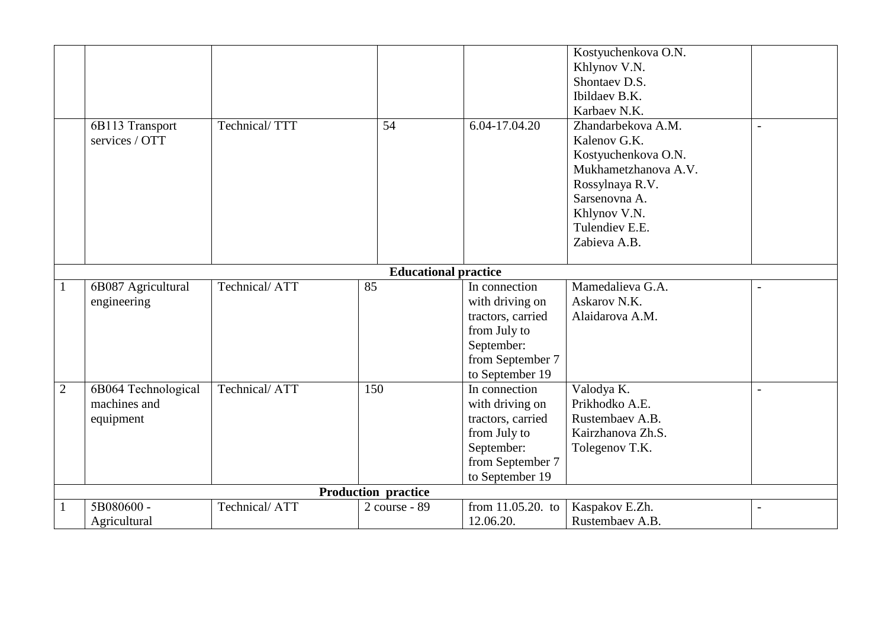|                | 6B113 Transport<br>services / OTT                | Technical/TTT | 54                          | 6.04-17.04.20                                                                                                              | Kostyuchenkova O.N.<br>Khlynov V.N.<br>Shontaev D.S.<br>Ibildaev B.K.<br>Karbaev N.K.<br>Zhandarbekova A.M.<br>Kalenov G.K.<br>Kostyuchenkova O.N.<br>Mukhametzhanova A.V.<br>Rossylnaya R.V.<br>Sarsenovna A.<br>Khlynov V.N.<br>Tulendiev E.E.<br>Zabieva A.B. | $\overline{a}$           |
|----------------|--------------------------------------------------|---------------|-----------------------------|----------------------------------------------------------------------------------------------------------------------------|------------------------------------------------------------------------------------------------------------------------------------------------------------------------------------------------------------------------------------------------------------------|--------------------------|
|                |                                                  |               | <b>Educational practice</b> |                                                                                                                            |                                                                                                                                                                                                                                                                  |                          |
| 1              | 6B087 Agricultural<br>engineering                | Technical/ATT | 85                          | In connection<br>with driving on<br>tractors, carried<br>from July to<br>September:<br>from September 7<br>to September 19 | Mamedalieva G.A.<br>Askarov N.K.<br>Alaidarova A.M.                                                                                                                                                                                                              | $\overline{\phantom{0}}$ |
| $\overline{2}$ | 6B064 Technological<br>machines and<br>equipment | Technical/ATT | 150                         | In connection<br>with driving on<br>tractors, carried<br>from July to<br>September:<br>from September 7<br>to September 19 | Valodya K.<br>Prikhodko A.E.<br>Rustembaev A.B.<br>Kairzhanova Zh.S.<br>Tolegenov T.K.                                                                                                                                                                           |                          |
|                |                                                  |               | Production practice         |                                                                                                                            |                                                                                                                                                                                                                                                                  |                          |
|                | 5B080600 -<br>Agricultural                       | Technical/ATT | 2 course - 89               | from $11.05.20$ . to<br>12.06.20.                                                                                          | Kaspakov E.Zh.<br>Rustembaev A.B.                                                                                                                                                                                                                                |                          |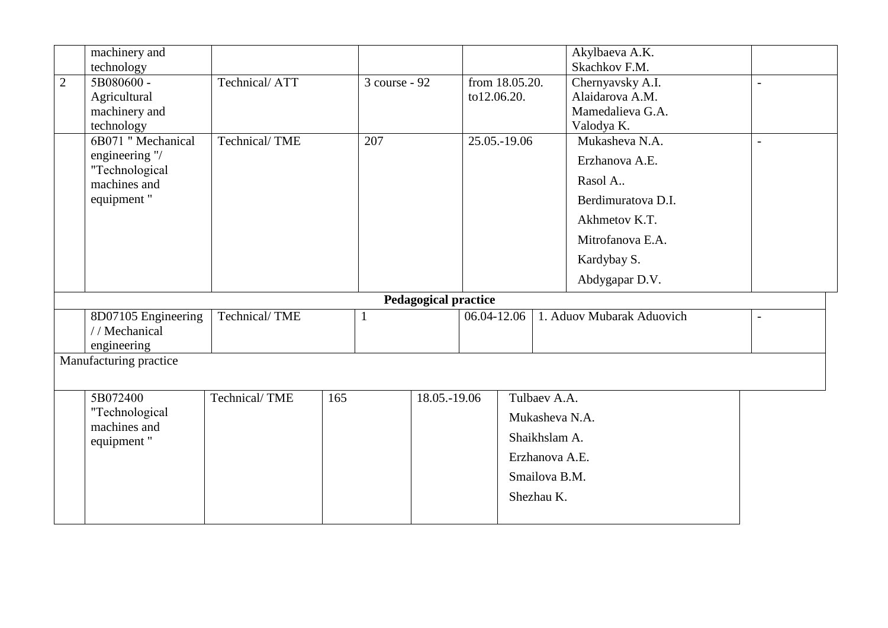|                | machinery and                  |               |     |               |                             |             |                | Akylbaeva A.K.            |                          |  |
|----------------|--------------------------------|---------------|-----|---------------|-----------------------------|-------------|----------------|---------------------------|--------------------------|--|
|                | technology                     |               |     |               |                             |             |                | Skachkov F.M.             |                          |  |
| $\overline{2}$ | 5B080600-                      | Technical/ATT |     | 3 course - 92 |                             |             | from 18.05.20. | Chernyavsky A.I.          | $\overline{a}$           |  |
|                | Agricultural                   |               |     |               |                             | to12.06.20. |                | Alaidarova A.M.           |                          |  |
|                | machinery and                  |               |     |               |                             |             |                | Mamedalieva G.A.          |                          |  |
|                | technology                     |               |     |               |                             |             |                | Valodya K.                |                          |  |
|                | 6B071 "Mechanical              | Technical/TME |     | 207           |                             |             | 25.05.-19.06   | Mukasheva N.A.            | $\blacksquare$           |  |
|                | engineering "/                 |               |     |               |                             |             |                | Erzhanova A.E.            |                          |  |
|                | "Technological<br>machines and |               |     |               |                             |             |                | Rasol A.                  |                          |  |
|                | equipment"                     |               |     |               |                             |             |                | Berdimuratova D.I.        |                          |  |
|                |                                |               |     |               |                             |             |                | Akhmetov K.T.             |                          |  |
|                |                                |               |     |               |                             |             |                | Mitrofanova E.A.          |                          |  |
|                |                                |               |     |               |                             |             |                | Kardybay S.               |                          |  |
|                |                                |               |     |               |                             |             |                | Abdygapar D.V.            |                          |  |
|                |                                |               |     |               | <b>Pedagogical practice</b> |             |                |                           |                          |  |
|                | 8D07105 Engineering            | Technical/TME |     | 1             |                             | 06.04-12.06 |                | 1. Aduov Mubarak Aduovich | $\overline{\phantom{a}}$ |  |
|                | //Mechanical                   |               |     |               |                             |             |                |                           |                          |  |
|                | engineering                    |               |     |               |                             |             |                |                           |                          |  |
|                | Manufacturing practice         |               |     |               |                             |             |                |                           |                          |  |
|                |                                |               |     |               |                             |             |                |                           |                          |  |
|                | 5B072400                       | Technical/TME | 165 |               | 18.05.-19.06                |             |                | Tulbaev A.A.              |                          |  |
|                | "Technological                 |               |     |               |                             |             |                | Mukasheva N.A.            |                          |  |
|                | machines and                   |               |     |               |                             |             |                |                           |                          |  |
|                | equipment"                     |               |     |               |                             |             |                | Shaikhslam A.             |                          |  |
|                |                                |               |     |               |                             |             |                | Erzhanova A.E.            |                          |  |
|                |                                |               |     |               |                             |             |                | Smailova B.M.             |                          |  |
|                |                                |               |     |               |                             |             |                | Shezhau K.                |                          |  |
|                |                                |               |     |               |                             |             |                |                           |                          |  |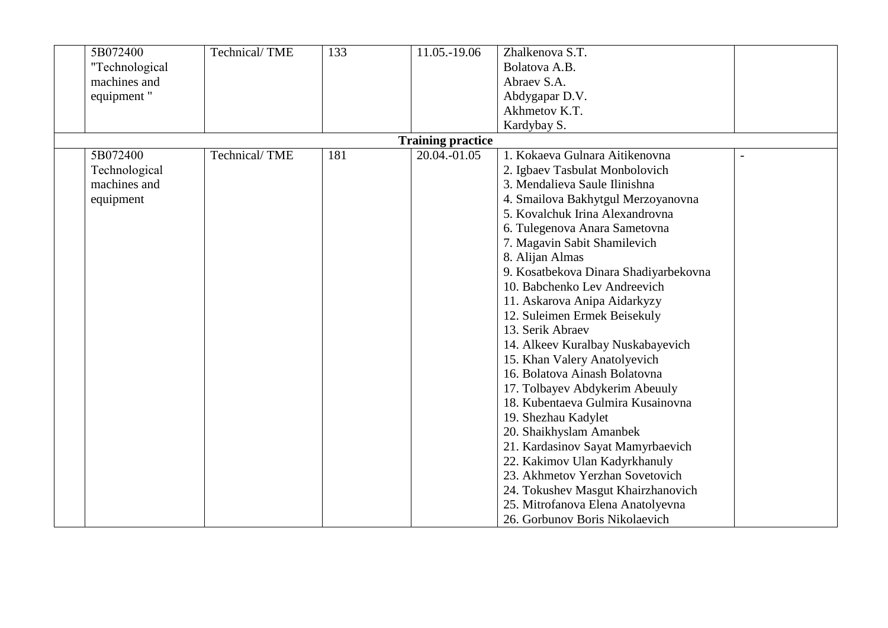| 5B072400       | Technical/TME | 133 | 11.05.-19.06             | Zhalkenova S.T.                       |  |
|----------------|---------------|-----|--------------------------|---------------------------------------|--|
| "Technological |               |     |                          | Bolatova A.B.                         |  |
| machines and   |               |     |                          | Abraev S.A.                           |  |
| equipment"     |               |     |                          | Abdygapar D.V.                        |  |
|                |               |     |                          | Akhmetov K.T.                         |  |
|                |               |     |                          | Kardybay S.                           |  |
|                |               |     | <b>Training practice</b> |                                       |  |
| 5B072400       | Technical/TME | 181 | 20.04.-01.05             | 1. Kokaeva Gulnara Aitikenovna        |  |
| Technological  |               |     |                          | 2. Igbaev Tasbulat Monbolovich        |  |
| machines and   |               |     |                          | 3. Mendalieva Saule Ilinishna         |  |
| equipment      |               |     |                          | 4. Smailova Bakhytgul Merzoyanovna    |  |
|                |               |     |                          | 5. Kovalchuk Irina Alexandrovna       |  |
|                |               |     |                          | 6. Tulegenova Anara Sametovna         |  |
|                |               |     |                          | 7. Magavin Sabit Shamilevich          |  |
|                |               |     |                          | 8. Alijan Almas                       |  |
|                |               |     |                          | 9. Kosatbekova Dinara Shadiyarbekovna |  |
|                |               |     |                          | 10. Babchenko Lev Andreevich          |  |
|                |               |     |                          | 11. Askarova Anipa Aidarkyzy          |  |
|                |               |     |                          | 12. Suleimen Ermek Beisekuly          |  |
|                |               |     |                          | 13. Serik Abraev                      |  |
|                |               |     |                          | 14. Alkeev Kuralbay Nuskabayevich     |  |
|                |               |     |                          | 15. Khan Valery Anatolyevich          |  |
|                |               |     |                          | 16. Bolatova Ainash Bolatovna         |  |
|                |               |     |                          | 17. Tolbayev Abdykerim Abeuuly        |  |
|                |               |     |                          | 18. Kubentaeva Gulmira Kusainovna     |  |
|                |               |     |                          | 19. Shezhau Kadylet                   |  |
|                |               |     |                          | 20. Shaikhyslam Amanbek               |  |
|                |               |     |                          | 21. Kardasinov Sayat Mamyrbaevich     |  |
|                |               |     |                          | 22. Kakimov Ulan Kadyrkhanuly         |  |
|                |               |     |                          | 23. Akhmetov Yerzhan Sovetovich       |  |
|                |               |     |                          | 24. Tokushev Masgut Khairzhanovich    |  |
|                |               |     |                          | 25. Mitrofanova Elena Anatolyevna     |  |
|                |               |     |                          | 26. Gorbunov Boris Nikolaevich        |  |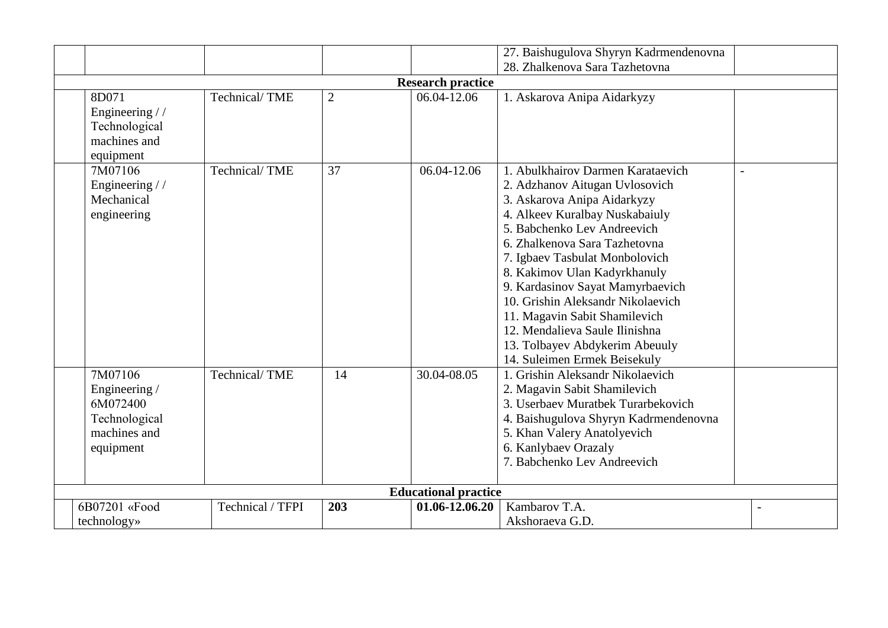| 27. Baishugulova Shyryn Kadrmendenovna                                             |                                |                |                |                                                                                                                                                                                                                                                                                                                                                                                                                                                                                      |  |  |  |
|------------------------------------------------------------------------------------|--------------------------------|----------------|----------------|--------------------------------------------------------------------------------------------------------------------------------------------------------------------------------------------------------------------------------------------------------------------------------------------------------------------------------------------------------------------------------------------------------------------------------------------------------------------------------------|--|--|--|
|                                                                                    | 28. Zhalkenova Sara Tazhetovna |                |                |                                                                                                                                                                                                                                                                                                                                                                                                                                                                                      |  |  |  |
| <b>Research practice</b>                                                           |                                |                |                |                                                                                                                                                                                                                                                                                                                                                                                                                                                                                      |  |  |  |
| 8D071<br>Engineering //<br>Technological<br>machines and<br>equipment              | Technical/TME                  | $\overline{2}$ | 06.04-12.06    | 1. Askarova Anipa Aidarkyzy                                                                                                                                                                                                                                                                                                                                                                                                                                                          |  |  |  |
| 7M07106<br>Engineering //<br>Mechanical<br>engineering                             | Technical/TME                  | 37             | 06.04-12.06    | 1. Abulkhairov Darmen Karataevich<br>2. Adzhanov Aitugan Uvlosovich<br>3. Askarova Anipa Aidarkyzy<br>4. Alkeev Kuralbay Nuskabaiuly<br>5. Babchenko Lev Andreevich<br>6. Zhalkenova Sara Tazhetovna<br>7. Igbaev Tasbulat Monbolovich<br>8. Kakimov Ulan Kadyrkhanuly<br>9. Kardasinov Sayat Mamyrbaevich<br>10. Grishin Aleksandr Nikolaevich<br>11. Magavin Sabit Shamilevich<br>12. Mendalieva Saule Ilinishna<br>13. Tolbayev Abdykerim Abeuuly<br>14. Suleimen Ermek Beisekuly |  |  |  |
| 7M07106<br>Engineering /<br>6M072400<br>Technological<br>machines and<br>equipment | Technical/TME                  | 14             | 30.04-08.05    | 1. Grishin Aleksandr Nikolaevich<br>2. Magavin Sabit Shamilevich<br>3. Userbaev Muratbek Turarbekovich<br>4. Baishugulova Shyryn Kadrmendenovna<br>5. Khan Valery Anatolyevich<br>6. Kanlybaev Orazaly<br>7. Babchenko Lev Andreevich                                                                                                                                                                                                                                                |  |  |  |
| <b>Educational practice</b>                                                        |                                |                |                |                                                                                                                                                                                                                                                                                                                                                                                                                                                                                      |  |  |  |
| 6B07201 «Food                                                                      | Technical / TFPI               | 203            | 01.06-12.06.20 | Kambarov T.A.                                                                                                                                                                                                                                                                                                                                                                                                                                                                        |  |  |  |
| technology»                                                                        |                                |                |                | Akshoraeva G.D.                                                                                                                                                                                                                                                                                                                                                                                                                                                                      |  |  |  |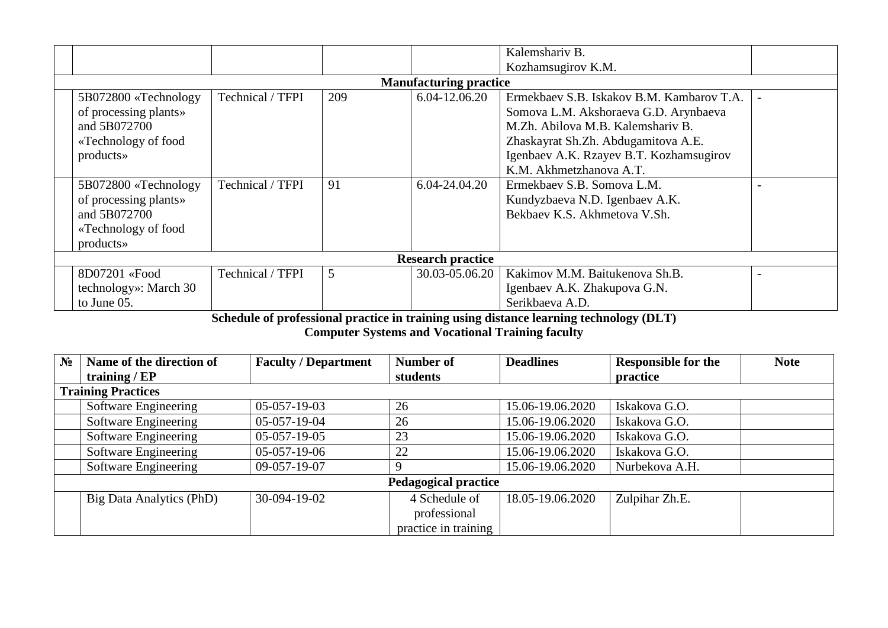|                               |                          |                  |     |                | Kalemshariv B.                            |  |  |  |
|-------------------------------|--------------------------|------------------|-----|----------------|-------------------------------------------|--|--|--|
|                               |                          |                  |     |                | Kozhamsugirov K.M.                        |  |  |  |
| <b>Manufacturing practice</b> |                          |                  |     |                |                                           |  |  |  |
|                               | 5B072800 «Technology     | Technical / TFPI | 209 | 6.04-12.06.20  | Ermekbaev S.B. Iskakov B.M. Kambarov T.A. |  |  |  |
|                               | of processing plants»    |                  |     |                | Somova L.M. Akshoraeva G.D. Arynbaeva     |  |  |  |
|                               | and 5B072700             |                  |     |                | M.Zh. Abilova M.B. Kalemshariv B.         |  |  |  |
|                               | «Technology of food      |                  |     |                | Zhaskayrat Sh.Zh. Abdugamitova A.E.       |  |  |  |
|                               | products»                |                  |     |                | Igenbaev A.K. Rzayev B.T. Kozhamsugirov   |  |  |  |
|                               |                          |                  |     |                | K.M. Akhmetzhanova A.T.                   |  |  |  |
|                               | 5B072800 «Technology     | Technical / TFPI | 91  | 6.04-24.04.20  | Ermekbaev S.B. Somova L.M.                |  |  |  |
|                               | of processing plants»    |                  |     |                | Kundyzbaeva N.D. Igenbaev A.K.            |  |  |  |
|                               | and 5B072700             |                  |     |                | Bekbaev K.S. Akhmetova V.Sh.              |  |  |  |
|                               | «Technology of food      |                  |     |                |                                           |  |  |  |
|                               | products»                |                  |     |                |                                           |  |  |  |
|                               | <b>Research practice</b> |                  |     |                |                                           |  |  |  |
|                               | 8D07201 «Food            | Technical / TFPI | 5   | 30.03-05.06.20 | Kakimov M.M. Baitukenova Sh.B.            |  |  |  |
|                               | technology»: March 30    |                  |     |                | Igenbaev A.K. Zhakupova G.N.              |  |  |  |
|                               | to June 05.              |                  |     |                | Serikbaeva A.D.                           |  |  |  |

**Schedule of professional practice in training using distance learning technology (DLT)**

**Computer Systems and Vocational Training faculty**

| $N_2$ | Name of the direction of    | <b>Faculty / Department</b> | Number of            | <b>Deadlines</b> | <b>Responsible for the</b> | <b>Note</b> |  |  |
|-------|-----------------------------|-----------------------------|----------------------|------------------|----------------------------|-------------|--|--|
|       | training / $EP$             |                             | students             |                  | practice                   |             |  |  |
|       | <b>Training Practices</b>   |                             |                      |                  |                            |             |  |  |
|       | Software Engineering        | $05-057-19-03$              | 26                   | 15.06-19.06.2020 | Iskakova G.O.              |             |  |  |
|       | Software Engineering        | 05-057-19-04                | 26                   | 15.06-19.06.2020 | Iskakova G.O.              |             |  |  |
|       | Software Engineering        | $05-057-19-05$              | 23                   | 15.06-19.06.2020 | Iskakova G.O.              |             |  |  |
|       | Software Engineering        | $05-057-19-06$              | 22                   | 15.06-19.06.2020 | Iskakova G.O.              |             |  |  |
|       | Software Engineering        | 09-057-19-07                |                      | 15.06-19.06.2020 | Nurbekova A.H.             |             |  |  |
|       | <b>Pedagogical practice</b> |                             |                      |                  |                            |             |  |  |
|       | Big Data Analytics (PhD)    | 30-094-19-02                | 4 Schedule of        | 18.05-19.06.2020 | Zulpihar Zh.E.             |             |  |  |
|       |                             |                             | professional         |                  |                            |             |  |  |
|       |                             |                             | practice in training |                  |                            |             |  |  |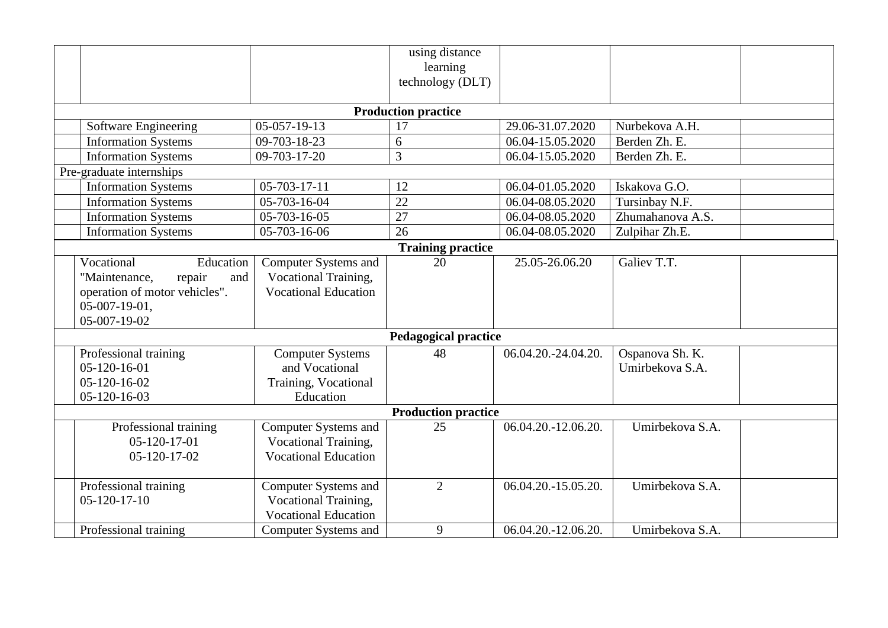|                                                                                                                                |                                                                                    | using distance<br>learning<br>technology (DLT) |                     |                                    |  |  |  |
|--------------------------------------------------------------------------------------------------------------------------------|------------------------------------------------------------------------------------|------------------------------------------------|---------------------|------------------------------------|--|--|--|
|                                                                                                                                |                                                                                    | <b>Production practice</b>                     |                     |                                    |  |  |  |
| Software Engineering                                                                                                           | 05-057-19-13                                                                       | 17                                             | 29.06-31.07.2020    | Nurbekova A.H.                     |  |  |  |
| <b>Information Systems</b>                                                                                                     | 09-703-18-23                                                                       | 6                                              | 06.04-15.05.2020    | Berden Zh. E.                      |  |  |  |
| <b>Information Systems</b>                                                                                                     | 09-703-17-20                                                                       | 3                                              | 06.04-15.05.2020    | Berden Zh. E.                      |  |  |  |
| Pre-graduate internships                                                                                                       |                                                                                    |                                                |                     |                                    |  |  |  |
| <b>Information Systems</b>                                                                                                     | $05 - 703 - 17 - 11$                                                               | 12                                             | 06.04-01.05.2020    | Iskakova G.O.                      |  |  |  |
| <b>Information Systems</b>                                                                                                     | 05-703-16-04                                                                       | $\overline{22}$                                | 06.04-08.05.2020    | Tursinbay N.F.                     |  |  |  |
| <b>Information Systems</b>                                                                                                     | $05 - 703 - 16 - 05$                                                               | 27                                             | 06.04-08.05.2020    | Zhumahanova A.S.                   |  |  |  |
| <b>Information Systems</b>                                                                                                     | $\overline{05}$ -703-16-06                                                         | $\overline{26}$                                | 06.04-08.05.2020    | Zulpihar Zh.E.                     |  |  |  |
|                                                                                                                                |                                                                                    | <b>Training practice</b>                       |                     |                                    |  |  |  |
| Vocational<br>Education<br>"Maintenance,<br>repair<br>and<br>operation of motor vehicles".<br>$05-007-19-01$ ,<br>05-007-19-02 | <b>Computer Systems and</b><br>Vocational Training,<br><b>Vocational Education</b> | 20                                             | 25.05-26.06.20      | Galiev T.T.                        |  |  |  |
| <b>Pedagogical practice</b>                                                                                                    |                                                                                    |                                                |                     |                                    |  |  |  |
| Professional training<br>$05-120-16-01$<br>$05-120-16-02$<br>$05 - 120 - 16 - 03$                                              | <b>Computer Systems</b><br>and Vocational<br>Training, Vocational<br>Education     | 48                                             | 06.04.20.-24.04.20. | Ospanova Sh. K.<br>Umirbekova S.A. |  |  |  |
| <b>Production practice</b>                                                                                                     |                                                                                    |                                                |                     |                                    |  |  |  |
| Professional training<br>$05 - 120 - 17 - 01$<br>$05 - 120 - 17 - 02$                                                          | Computer Systems and<br>Vocational Training,<br><b>Vocational Education</b>        | 25                                             | 06.04.20.-12.06.20. | Umirbekova S.A.                    |  |  |  |
| Professional training<br>$05 - 120 - 17 - 10$                                                                                  | Computer Systems and<br>Vocational Training,<br><b>Vocational Education</b>        | $\overline{2}$                                 | 06.04.20.-15.05.20. | Umirbekova S.A.                    |  |  |  |
| Professional training                                                                                                          | <b>Computer Systems and</b>                                                        | 9                                              | 06.04.20.-12.06.20. | Umirbekova S.A.                    |  |  |  |